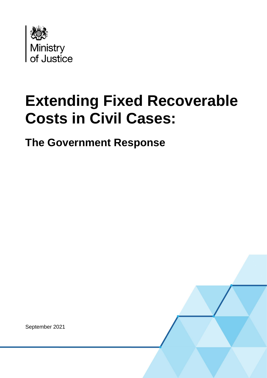

# **Extending Fixed Recoverable Costs in Civil Cases:**

### **The Government Response**

September 2021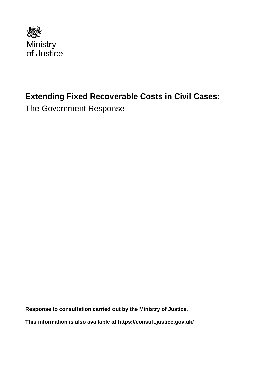

### **Extending Fixed Recoverable Costs in Civil Cases:**

The Government Response

**Response to consultation carried out by the Ministry of Justice.**

**This information is also available at<https://consult.justice.gov.uk/>**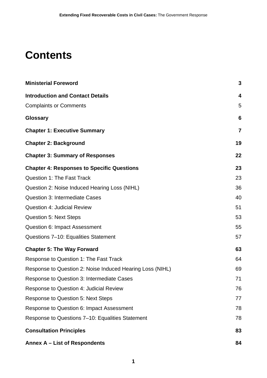### **Contents**

| <b>Ministerial Foreword</b>                               | 3  |
|-----------------------------------------------------------|----|
| <b>Introduction and Contact Details</b>                   | 4  |
| <b>Complaints or Comments</b>                             | 5  |
| <b>Glossary</b>                                           | 6  |
| <b>Chapter 1: Executive Summary</b>                       | 7  |
| <b>Chapter 2: Background</b>                              | 19 |
| <b>Chapter 3: Summary of Responses</b>                    | 22 |
| <b>Chapter 4: Responses to Specific Questions</b>         | 23 |
| <b>Question 1: The Fast Track</b>                         | 23 |
| Question 2: Noise Induced Hearing Loss (NIHL)             | 36 |
| <b>Question 3: Intermediate Cases</b>                     | 40 |
| <b>Question 4: Judicial Review</b>                        | 51 |
| <b>Question 5: Next Steps</b>                             | 53 |
| <b>Question 6: Impact Assessment</b>                      | 55 |
| Questions 7–10: Equalities Statement                      | 57 |
| <b>Chapter 5: The Way Forward</b>                         | 63 |
| Response to Question 1: The Fast Track                    | 64 |
| Response to Question 2: Noise Induced Hearing Loss (NIHL) | 69 |
| <b>Response to Question 3: Intermediate Cases</b>         | 71 |
| <b>Response to Question 4: Judicial Review</b>            | 76 |
| <b>Response to Question 5: Next Steps</b>                 | 77 |
| Response to Question 6: Impact Assessment                 | 78 |
| Response to Questions 7-10: Equalities Statement          | 78 |
| <b>Consultation Principles</b>                            | 83 |
| Annex A - List of Respondents                             | 84 |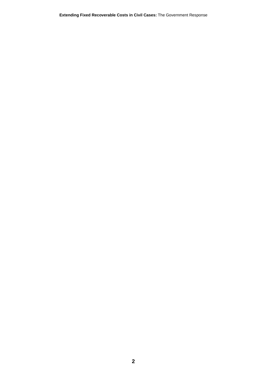**Extending Fixed Recoverable Costs in Civil Cases:** The Government Response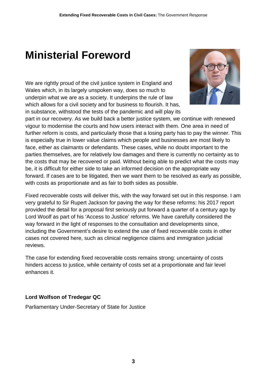### <span id="page-4-0"></span>**Ministerial Foreword**

We are rightly proud of the civil justice system in England and Wales which, in its largely unspoken way, does so much to underpin what we are as a society. It underpins the rule of law which allows for a civil society and for business to flourish. It has, in substance, withstood the tests of the pandemic and will play its



part in our recovery. As we build back a better justice system, we continue with renewed vigour to modernise the courts and how users interact with them. One area in need of further reform is costs, and particularly those that a losing party has to pay the winner. This is especially true in lower value claims which people and businesses are most likely to face, either as claimants or defendants. These cases, while no doubt important to the parties themselves, are for relatively low damages and there is currently no certainty as to the costs that may be recovered or paid. Without being able to predict what the costs may be, it is difficult for either side to take an informed decision on the appropriate way forward. If cases are to be litigated, then we want them to be resolved as early as possible, with costs as proportionate and as fair to both sides as possible.

Fixed recoverable costs will deliver this, with the way forward set out in this response. I am very grateful to Sir Rupert Jackson for paving the way for these reforms: his 2017 report provided the detail for a proposal first seriously put forward a quarter of a century ago by Lord Woolf as part of his 'Access to Justice' reforms. We have carefully considered the way forward in the light of responses to the consultation and developments since, including the Government's desire to extend the use of fixed recoverable costs in other cases not covered here, such as clinical negligence claims and immigration judicial reviews.

The case for extending fixed recoverable costs remains strong: uncertainty of costs hinders access to justice, while certainty of costs set at a proportionate and fair level enhances it.

#### **Lord Wolfson of Tredegar QC**

Parliamentary Under-Secretary of State for Justice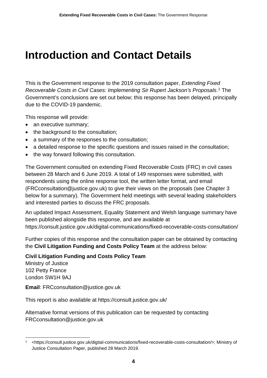# <span id="page-5-0"></span>**Introduction and Contact Details**

This is the Government response to the 2019 consultation paper, *Extending Fixed Recoverable Costs in Civil Cases: Implementing Sir Rupert Jackson's Proposals*. [1](#page-5-1) The Government's conclusions are set out below; this response has been delayed, principally due to the COVID-19 pandemic.

This response will provide:

- an executive summary;
- the background to the consultation;
- a summary of the responses to the consultation;
- a detailed response to the specific questions and issues raised in the consultation;
- the way forward following this consultation.

The Government consulted on extending Fixed Recoverable Costs (FRC) in civil cases between 28 March and 6 June 2019. A total of 149 responses were submitted, with respondents using the online response tool, the written letter format, and email [\(FRCconsultation@justice.gov.uk\)](mailto:FRCconsultation@justice.gov.uk) to give their views on the proposals (see Chapter 3 below for a summary). The Government held meetings with several leading stakeholders and interested parties to discuss the FRC proposals.

An updated Impact Assessment, Equality Statement and Welsh language summary have been published alongside this response, and are available at <https://consult.justice.gov.uk/digital-communications/fixed-recoverable-costs-consultation/>

Further copies of this response and the consultation paper can be obtained by contacting the **Civil Litigation Funding and Costs Policy Team** at the address below:

#### **Civil Litigation Funding and Costs Policy Team**

Ministry of Justice 102 Petty France London SW1H 9AJ

**Email**: [FRCconsultation@justice.gov.uk](mailto:FRCconsultation@justice.gov.uk)

This report is also available at<https://consult.justice.gov.uk/>

Alternative format versions of this publication can be requested by contacting [FRCconsultation@justice.gov.uk](mailto:FRCconsultation@justice.gov.uk)

<span id="page-5-1"></span><sup>1</sup> [<https://consult.justice.gov.uk/digital-communications/fixed-recoverable-costs-consultation/>](https://consult.justice.gov.uk/digital-communications/fixed-recoverable-costs-consultation/); Ministry of Justice Consultation Paper, published 28 March 2019.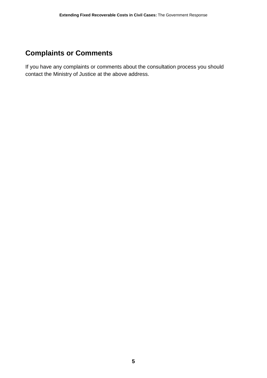### <span id="page-6-0"></span>**Complaints or Comments**

If you have any complaints or comments about the consultation process you should contact the Ministry of Justice at the above address.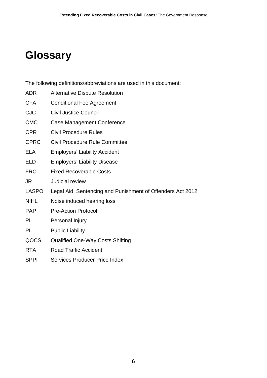### <span id="page-7-0"></span>**Glossary**

The following definitions/abbreviations are used in this document:

- ADR Alternative Dispute Resolution
- CFA Conditional Fee Agreement
- CJC Civil Justice Council
- CMC Case Management Conference
- CPR Civil Procedure Rules
- CPRC Civil Procedure Rule Committee
- ELA Employers' Liability Accident
- ELD Employers' Liability Disease
- FRC Fixed Recoverable Costs
- JR Judicial review
- LASPO Legal Aid, Sentencing and Punishment of Offenders Act 2012
- NIHL Noise induced hearing loss
- PAP Pre-Action Protocol
- PI Personal Injury
- PL Public Liability
- QOCS Qualified One-Way Costs Shifting
- RTA Road Traffic Accident
- SPPI Services Producer Price Index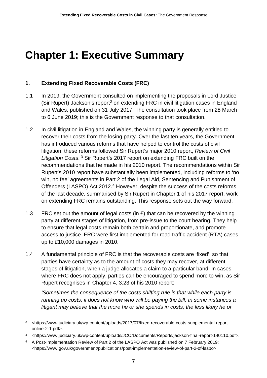# <span id="page-8-0"></span>**Chapter 1: Executive Summary**

#### **1. Extending Fixed Recoverable Costs (FRC)**

- 1.1 In 2019, the Government consulted on implementing the proposals in Lord Justice (Sir Rupert) Jackson's report<sup>[2](#page-8-1)</sup> on extending FRC in civil litigation cases in England and Wales, published on 31 July 2017. The consultation took place from 28 March to 6 June 2019; this is the Government response to that consultation.
- 1.2 In civil litigation in England and Wales, the winning party is generally entitled to recover their costs from the losing party. Over the last ten years, the Government has introduced various reforms that have helped to control the costs of civil litigation; these reforms followed Sir Rupert's major 2010 report, *Review of Civil Litigation Costs*. [3](#page-8-2) Sir Rupert's 2017 report on extending FRC built on the recommendations that he made in his 2010 report. The recommendations within Sir Rupert's 2010 report have substantially been implemented, including reforms to 'no win, no fee' agreements in Part 2 of the Legal Aid, Sentencing and Punishment of Offenders (LASPO) Act 2012.[4](#page-8-3) However, despite the success of the costs reforms of the last decade, summarised by Sir Rupert in Chapter 1 of his 2017 report, work on extending FRC remains outstanding. This response sets out the way forward.
- 1.3 FRC set out the amount of legal costs (in  $E$ ) that can be recovered by the winning party at different stages of litigation, from pre-issue to the court hearing. They help to ensure that legal costs remain both certain and proportionate, and promote access to justice. FRC were first implemented for road traffic accident (RTA) cases up to £10,000 damages in 2010.
- 1.4 A fundamental principle of FRC is that the recoverable costs are 'fixed', so that parties have certainty as to the amount of costs they may recover, at different stages of litigation, when a judge allocates a claim to a particular band. In cases where FRC does not apply, parties can be encouraged to spend more to win, as Sir Rupert recognises in Chapter 4, 3.23 of his 2010 report:

*'Sometimes the consequence of the costs shifting rule is that while each party is running up costs, it does not know who will be paying the bill. In some instances a litigant may believe that the more he or she spends in costs, the less likely he or* 

<span id="page-8-1"></span><sup>&</sup>lt;sup>2</sup> [<https://www.judiciary.uk/wp-content/uploads/2017/07/fixed-recoverable-costs-supplemental-report](https://www.judiciary.uk/wp-content/uploads/2017/07/fixed-recoverable-costs-supplemental-report-online-2-1.pdf)[online-2-1.pdf>](https://www.judiciary.uk/wp-content/uploads/2017/07/fixed-recoverable-costs-supplemental-report-online-2-1.pdf).

<span id="page-8-2"></span><sup>3</sup> [<https://www.judiciary.uk/wp-content/uploads/JCO/Documents/Reports/jackson-final-report-140110.pdf>](https://www.judiciary.uk/wp-content/uploads/JCO/Documents/Reports/jackson-final-report-140110.pdf).

<span id="page-8-3"></span><sup>4</sup> A Post-Implementation Review of Part 2 of the LASPO Act was published on 7 February 2019: [<https://www.gov.uk/government/publications/post-implementation-review-of-part-2-of-laspo>](https://www.gov.uk/government/publications/post-implementation-review-of-part-2-of-laspo).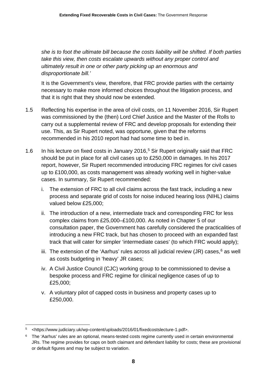*she is to foot the ultimate bill because the costs liability will be shifted. If both parties take this view, then costs escalate upwards without any proper control and ultimately result in one or other party picking up an enormous and disproportionate bill.'*

It is the Government's view, therefore, that FRC provide parties with the certainty necessary to make more informed choices throughout the litigation process, and that it is right that they should now be extended.

- 1.5 Reflecting his expertise in the area of civil costs, on 11 November 2016, Sir Rupert was commissioned by the (then) Lord Chief Justice and the Master of the Rolls to carry out a supplemental review of FRC and develop proposals for extending their use. This, as Sir Rupert noted, was opportune, given that the reforms recommended in his 2010 report had had some time to bed in.
- 1.6 In his lecture on fixed costs in January 2016,<sup>[5](#page-9-0)</sup> Sir Rupert originally said that FRC should be put in place for all civil cases up to £250,000 in damages. In his 2017 report, however, Sir Rupert recommended introducing FRC regimes for civil cases up to £100,000, as costs management was already working well in higher-value cases. In summary, Sir Rupert recommended:
	- i. The extension of FRC to all civil claims across the fast track, including a new process and separate grid of costs for noise induced hearing loss (NIHL) claims valued below £25,000;
	- ii. The introduction of a new, intermediate track and corresponding FRC for less complex claims from £25,000–£100,000. As noted in Chapter 5 of our consultation paper, the Government has carefully considered the practicalities of introducing a new FRC track, but has chosen to proceed with an expanded fast track that will cater for simpler 'intermediate cases' (to which FRC would apply);
	- iii. The extension of the 'Aarhus' rules across all judicial review  $(JR)$  cases,  $6$  as well as costs budgeting in 'heavy' JR cases;
	- iv. A Civil Justice Council (CJC) working group to be commissioned to devise a bespoke process and FRC regime for clinical negligence cases of up to £25,000;
	- v. A voluntary pilot of capped costs in business and property cases up to £250,000.

<span id="page-9-0"></span><sup>5</sup> [<https://www.judiciary.uk/wp-content/uploads/2016/01/fixedcostslecture-1.pdf>](https://www.judiciary.uk/wp-content/uploads/2016/01/fixedcostslecture-1.pdf).

<span id="page-9-1"></span><sup>&</sup>lt;sup>6</sup> The 'Aarhus' rules are an optional, means-tested costs regime currently used in certain environmental JRs. The regime provides for caps on both claimant and defendant liability for costs; these are provisional or default figures and may be subject to variation.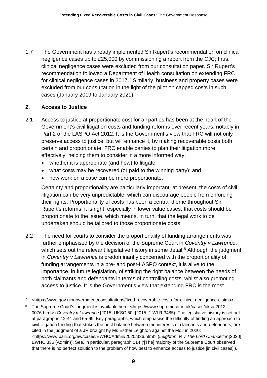1.7 The Government has already implemented Sir Rupert's recommendation on clinical negligence cases up to £25,000 by commissioning a report from the CJC; thus, clinical negligence cases were excluded from our consultation paper. Sir Rupert's recommendation followed a Department of Health consultation on extending FRC for clinical negligence cases in 201[7](#page-10-0).<sup>7</sup> Similarly, business and property cases were excluded from our consultation in the light of the pilot on capped costs in such cases (January 2019 to January 2021).

#### **2. Access to Justice**

- 2.1 Access to justice at proportionate cost for all parties has been at the heart of the Government's civil litigation costs and funding reforms over recent years, notably in Part 2 of the LASPO Act 2012. It is the Government's view that FRC will not only preserve access to justice, but will enhance it, by making recoverable costs both certain and proportionate. FRC enable parties to plan their litigation more effectively, helping them to consider in a more informed way:
	- whether it is appropriate (and how) to litigate;
	- what costs may be recovered (or paid to the winning party); and
	- how work on a case can be more proportionate.

Certainty and proportionality are particularly important: at present, the costs of civil litigation can be very unpredictable, which can discourage people from enforcing their rights. Proportionality of costs has been a central theme throughout Sir Rupert's reforms: it is right, especially in lower value cases, that costs should be proportionate to the issue, which means, in turn, that the legal work to be undertaken should be tailored to those proportionate costs.

2.2 The need for courts to consider the proportionality of funding arrangements was further emphasised by the decision of the Supreme Court in *Coventry v Lawrence*, which sets out the relevant legislative history in some detail.<sup>[8](#page-10-1)</sup> Although the judgment in *Coventry v Lawrence* is predominantly concerned with the proportionality of funding arrangements in a pre- and post-LASPO context, it is alive to the importance, in future legislation, of striking the right balance between the needs of both claimants and defendants in terms of controlling costs, whilst also promoting access to justice. It is the Government's view that extending FRC is the most

<span id="page-10-0"></span><sup>7</sup> [<https://www.gov.uk/government/consultations/fixed-recoverable-costs-for-clinical-negligence-claims>](https://www.gov.uk/government/consultations/fixed-recoverable-costs-for-clinical-negligence-claims).

<span id="page-10-1"></span><sup>8</sup> The Supreme Court's judgment is available here: [<https://www.supremecourt.uk/cases/uksc-2012-](https://www.supremecourt.uk/cases/uksc-2012-0076.html) [0076.html>](https://www.supremecourt.uk/cases/uksc-2012-0076.html) (*Coventry v Lawrence* [2015] UKSC 50, [2015] 1 WLR 3485). The legislative history is set out at paragraphs 12-41 and 65-69. Key paragraphs, which emphasise the difficulty of finding an approach to civil litigation funding that strikes the best balance between the interests of claimants and defendants, are cited in the judgment of a JR brought by Ms Esther Leighton against the MoJ in 2020: [<https://www.bailii.org/ew/cases/EWHC/Admin/2020/336.html>](https://www.bailii.org/ew/cases/EWHC/Admin/2020/336.html) (*Leighton, R v The Lord Chancellor* [2020] EWHC 336 (Admin)). See, in particular, paragraph 114 ('[The] majority of the Supreme Court observed that there is no perfect solution to the problem of how best to enhance access to justice [in civil cases]').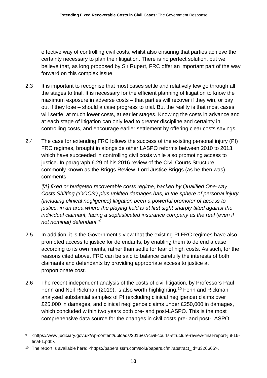effective way of controlling civil costs, whilst also ensuring that parties achieve the certainty necessary to plan their litigation. There is no perfect solution, but we believe that, as long proposed by Sir Rupert, FRC offer an important part of the way forward on this complex issue.

- 2.3 It is important to recognise that most cases settle and relatively few go through all the stages to trial. It is necessary for the efficient planning of litigation to know the maximum exposure in adverse costs – that parties will recover if they win, or pay out if they lose – should a case progress to trial. But the reality is that most cases will settle, at much lower costs, at earlier stages. Knowing the costs in advance and at each stage of litigation can only lead to greater discipline and certainty in controlling costs, and encourage earlier settlement by offering clear costs savings.
- 2.4 The case for extending FRC follows the success of the existing personal injury (PI) FRC regimes, brought in alongside other LASPO reforms between 2010 to 2013, which have succeeded in controlling civil costs while also promoting access to justice. In paragraph 6.29 of his 2016 review of the Civil Courts Structure, commonly known as the Briggs Review, Lord Justice Briggs (as he then was) comments:

*'[A] fixed or budgeted recoverable costs regime, backed by Qualified One-way Costs Shifting ('QOCS') plus uplifted damages has, in the sphere of personal injury (including clinical negligence) litigation been a powerful promoter of access to justice, in an area where the playing field is at first sight sharply tilted against the individual claimant, facing a sophisticated insurance company as the real (even if not nominal) defendant.'*[9](#page-11-0)

- 2.5 In addition, it is the Government's view that the existing PI FRC regimes have also promoted access to justice for defendants, by enabling them to defend a case according to its own merits, rather than settle for fear of high costs. As such, for the reasons cited above, FRC can be said to balance carefully the interests of both claimants and defendants by providing appropriate access to justice at proportionate cost.
- 2.6 The recent independent analysis of the costs of civil litigation, by Professors Paul Fenn and Neil Rickman (2019), is also worth highlighting.[10](#page-11-1) Fenn and Rickman analysed substantial samples of PI (excluding clinical negligence) claims over £25,000 in damages, and clinical negligence claims under £250,000 in damages, which concluded within two years both pre- and post-LASPO. This is the most comprehensive data source for the changes in civil costs pre- and post-LASPO.

<span id="page-11-0"></span><sup>9</sup> [<https://www.judiciary.gov.uk/wp-content/uploads/2016/07/civil-courts-structure-review-final-report-jul-16](https://www.judiciary.gov.uk/wp-content/uploads/2016/07/civil-courts-structure-review-final-report-jul-16-final-1.pdf) [final-1.pdf>](https://www.judiciary.gov.uk/wp-content/uploads/2016/07/civil-courts-structure-review-final-report-jul-16-final-1.pdf).

<span id="page-11-1"></span><sup>&</sup>lt;sup>10</sup> The report is available here: [<https://papers.ssrn.com/sol3/papers.cfm?abstract\\_id=3326665>](https://papers.ssrn.com/sol3/papers.cfm?abstract_id=3326665).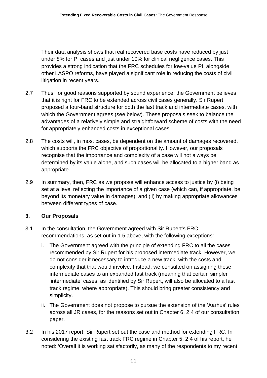Their data analysis shows that real recovered base costs have reduced by just under 8% for PI cases and just under 10% for clinical negligence cases. This provides a strong indication that the FRC schedules for low-value PI, alongside other LASPO reforms, have played a significant role in reducing the costs of civil litigation in recent years.

- 2.7 Thus, for good reasons supported by sound experience, the Government believes that it is right for FRC to be extended across civil cases generally. Sir Rupert proposed a four-band structure for both the fast track and intermediate cases, with which the Government agrees (see below). These proposals seek to balance the advantages of a relatively simple and straightforward scheme of costs with the need for appropriately enhanced costs in exceptional cases.
- 2.8 The costs will, in most cases, be dependent on the amount of damages recovered, which supports the FRC objective of proportionality. However, our proposals recognise that the importance and complexity of a case will not always be determined by its value alone, and such cases will be allocated to a higher band as appropriate.
- 2.9 In summary, then, FRC as we propose will enhance access to justice by (i) being set at a level reflecting the importance of a given case (which can, if appropriate, be beyond its monetary value in damages); and (ii) by making appropriate allowances between different types of case.

#### **3. Our Proposals**

- 3.1 In the consultation, the Government agreed with Sir Rupert's FRC recommendations, as set out in 1.5 above, with the following exceptions:
	- i. The Government agreed with the principle of extending FRC to all the cases recommended by Sir Rupert for his proposed intermediate track. However, we do not consider it necessary to introduce a new track, with the costs and complexity that that would involve. Instead, we consulted on assigning these intermediate cases to an expanded fast track (meaning that certain simpler 'intermediate' cases, as identified by Sir Rupert, will also be allocated to a fast track regime, where appropriate). This should bring greater consistency and simplicity.
	- ii. The Government does not propose to pursue the extension of the 'Aarhus' rules across all JR cases, for the reasons set out in Chapter 6, 2.4 of our consultation paper.
- 3.2 In his 2017 report, Sir Rupert set out the case and method for extending FRC. In considering the existing fast track FRC regime in Chapter 5, 2.4 of his report, he noted: 'Overall it is working satisfactorily, as many of the respondents to my recent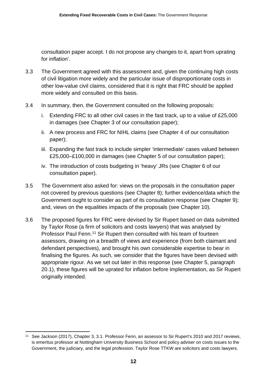consultation paper accept. I do not propose any changes to it, apart from uprating for inflation'.

- 3.3 The Government agreed with this assessment and, given the continuing high costs of civil litigation more widely and the particular issue of disproportionate costs in other low-value civil claims, considered that it is right that FRC should be applied more widely and consulted on this basis.
- 3.4 In summary, then, the Government consulted on the following proposals:
	- i. Extending FRC to all other civil cases in the fast track, up to a value of £25,000 in damages (see Chapter 3 of our consultation paper);
	- ii. A new process and FRC for NIHL claims (see Chapter 4 of our consultation paper);
	- iii. Expanding the fast track to include simpler 'intermediate' cases valued between £25,000–£100,000 in damages (see Chapter 5 of our consultation paper);
	- iv. The introduction of costs budgeting in 'heavy' JRs (see Chapter 6 of our consultation paper).
- 3.5 The Government also asked for: views on the proposals in the consultation paper not covered by previous questions (see Chapter 8); further evidence/data which the Government ought to consider as part of its consultation response (see Chapter 9); and, views on the equalities impacts of the proposals (see Chapter 10).
- 3.6 The proposed figures for FRC were devised by Sir Rupert based on data submitted by Taylor Rose (a firm of solicitors and costs lawyers) that was analysed by Professor Paul Fenn.<sup>[11](#page-13-0)</sup> Sir Rupert then consulted with his team of fourteen assessors, drawing on a breadth of views and experience (from both claimant and defendant perspectives), and brought his own considerable expertise to bear in finalising the figures. As such, we consider that the figures have been devised with appropriate rigour. As we set out later in this response (see Chapter 5, paragraph 20.1), these figures will be uprated for inflation before implementation, as Sir Rupert originally intended.

<span id="page-13-0"></span><sup>11</sup> See Jackson (2017), Chapter 3, 3.1. Professor Fenn, an assessor to Sir Rupert's 2010 and 2017 reviews, is emeritus professor at Nottingham University Business School and policy adviser on costs issues to the Government, the judiciary, and the legal profession. Taylor Rose TTKW are solicitors and costs lawyers.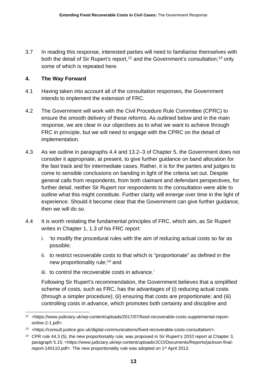3.7 In reading this response, interested parties will need to familiarise themselves with both the detail of Sir Rupert's report,<sup>[12](#page-14-0)</sup> and the Government's consultation;<sup>[13](#page-14-1)</sup> only some of which is repeated here.

#### **4. The Way Forward**

- 4.1 Having taken into account all of the consultation responses, the Government intends to implement the extension of FRC.
- 4.2 The Government will work with the Civil Procedure Rule Committee (CPRC) to ensure the smooth delivery of these reforms. As outlined below and in the main response, we are clear in our objectives as to what we want to achieve through FRC in principle, but we will need to engage with the CPRC on the detail of implementation.
- 4.3 As we outline in paragraphs 4.4 and 13.2–3 of Chapter 5, the Government does not consider it appropriate, at present, to give further guidance on band allocation for the fast track and for intermediate cases. Rather, it is for the parties and judges to come to sensible conclusions on banding in light of the criteria set out. Despite general calls from respondents, from both claimant and defendant perspectives, for further detail, neither Sir Rupert nor respondents to the consultation were able to outline what this might constitute. Further clarity will emerge over time in the light of experience. Should it become clear that the Government can give further guidance, then we will do so.
- 4.4 It is worth restating the fundamental principles of FRC, which aim, as Sir Rupert writes in Chapter 1, 1.3 of his FRC report:
	- i. 'to modify the procedural rules with the aim of reducing actual costs so far as possible;
	- ii. to restrict recoverable costs to that which is "proportionate" as defined in the new proportionality rule;[14](#page-14-2) and
	- iii. to control the recoverable costs in advance.'

Following Sir Rupert's recommendation, the Government believes that a simplified scheme of costs, such as FRC, has the advantages of (i) reducing actual costs (through a simpler procedure); (ii) ensuring that costs are proportionate; and (iii) controlling costs in advance, which promotes both certainty and discipline and

<span id="page-14-0"></span><sup>12</sup> [<https://www.judiciary.uk/wp-content/uploads/2017/07/fixed-recoverable-costs-supplemental-report](https://www.judiciary.uk/wp-content/uploads/2017/07/fixed-recoverable-costs-supplemental-report-online-2-1.pdf)[online-2-1.pdf>](https://www.judiciary.uk/wp-content/uploads/2017/07/fixed-recoverable-costs-supplemental-report-online-2-1.pdf).

<span id="page-14-1"></span><sup>13</sup> [<https://consult.justice.gov.uk/digital-communications/fixed-recoverable-costs-consultation/>](https://consult.justice.gov.uk/digital-communications/fixed-recoverable-costs-consultation/).

<span id="page-14-2"></span><sup>14</sup> CPR rule 44.3 (5), the new proportionality rule, was proposed in Sir Rupert's 2010 report at Chapter 3, paragraph 5.15: [<https://www.judiciary.uk/wp-content/uploads/JCO/Documents/Reports/jackson-final](https://www.judiciary.uk/wp-content/uploads/JCO/Documents/Reports/jackson-final-report-140110.pdf)[report-140110.pdf>](https://www.judiciary.uk/wp-content/uploads/JCO/Documents/Reports/jackson-final-report-140110.pdf). The new proportionality rule was adopted on 1st April 2013.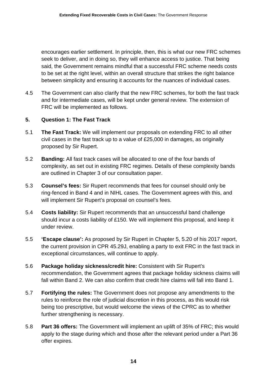encourages earlier settlement. In principle, then, this is what our new FRC schemes seek to deliver, and in doing so, they will enhance access to justice. That being said, the Government remains mindful that a successful FRC scheme needs costs to be set at the right level, within an overall structure that strikes the right balance between simplicity and ensuring it accounts for the nuances of individual cases.

4.5 The Government can also clarify that the new FRC schemes, for both the fast track and for intermediate cases, will be kept under general review. The extension of FRC will be implemented as follows.

#### **5. Question 1: The Fast Track**

- 5.1 **The Fast Track:** We will implement our proposals on extending FRC to all other civil cases in the fast track up to a value of £25,000 in damages, as originally proposed by Sir Rupert.
- 5.2 **Banding:** All fast track cases will be allocated to one of the four bands of complexity, as set out in existing FRC regimes. Details of these complexity bands are outlined in Chapter 3 of our consultation paper.
- 5.3 **Counsel's fees:** Sir Rupert recommends that fees for counsel should only be ring-fenced in Band 4 and in NIHL cases. The Government agrees with this, and will implement Sir Rupert's proposal on counsel's fees.
- 5.4 **Costs liability:** Sir Rupert recommends that an unsuccessful band challenge should incur a costs liability of £150. We will implement this proposal, and keep it under review.
- 5.5 **'Escape clause':** As proposed by Sir Rupert in Chapter 5, 5.20 of his 2017 report, the current provision in CPR 45.29J, enabling a party to exit FRC in the fast track in exceptional circumstances, will continue to apply.
- 5.6 **Package holiday sickness/credit hire:** Consistent with Sir Rupert's recommendation, the Government agrees that package holiday sickness claims will fall within Band 2. We can also confirm that credit hire claims will fall into Band 1.
- 5.7 **Fortifying the rules:** The Government does not propose any amendments to the rules to reinforce the role of judicial discretion in this process, as this would risk being too prescriptive, but would welcome the views of the CPRC as to whether further strengthening is necessary.
- 5.8 **Part 36 offers:** The Government will implement an uplift of 35% of FRC; this would apply to the stage during which and those after the relevant period under a Part 36 offer expires.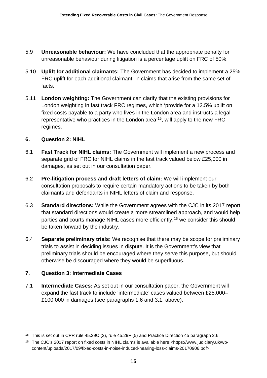- 5.9 **Unreasonable behaviour:** We have concluded that the appropriate penalty for unreasonable behaviour during litigation is a percentage uplift on FRC of 50%.
- 5.10 **Uplift for additional claimants:** The Government has decided to implement a 25% FRC uplift for each additional claimant, in claims that arise from the same set of facts.
- 5.11 **London weighting:** The Government can clarify that the existing provisions for London weighting in fast track FRC regimes, which 'provide for a 12.5% uplift on fixed costs payable to a party who lives in the London area and instructs a legal representative who practices in the London area'[15](#page-16-0), will apply to the new FRC regimes.

#### **6. Question 2: NIHL**

- 6.1 **Fast Track for NIHL claims:** The Government will implement a new process and separate grid of FRC for NIHL claims in the fast track valued below £25,000 in damages, as set out in our consultation paper.
- 6.2 **Pre-litigation process and draft letters of claim:** We will implement our consultation proposals to require certain mandatory actions to be taken by both claimants and defendants in NIHL letters of claim and response.
- 6.3 **Standard directions:** While the Government agrees with the CJC in its 2017 report that standard directions would create a more streamlined approach, and would help parties and courts manage NIHL cases more efficiently,<sup>[16](#page-16-1)</sup> we consider this should be taken forward by the industry.
- 6.4 **Separate preliminary trials:** We recognise that there may be scope for preliminary trials to assist in deciding issues in dispute. It is the Government's view that preliminary trials should be encouraged where they serve this purpose, but should otherwise be discouraged where they would be superfluous.

#### **7. Question 3: Intermediate Cases**

7.1 **Intermediate Cases:** As set out in our consultation paper, the Government will expand the fast track to include 'intermediate' cases valued between £25,000– £100,000 in damages (see paragraphs 1.6 and 3.1, above).

<span id="page-16-0"></span><sup>&</sup>lt;sup>15</sup> This is set out in CPR rule 45.29C (2), rule 45.29F (5) and Practice Direction 45 paragraph 2.6.

<span id="page-16-1"></span><sup>16</sup> The CJC's 2017 report on fixed costs in NIHL claims is available here:[<https://www.judiciary.uk/wp](https://www.judiciary.uk/wp-content/uploads/2017/09/fixed-costs-in-noise-induced-hearing-loss-claims-20170906.pdf)[content/uploads/2017/09/fixed-costs-in-noise-induced-hearing-loss-claims-20170906.pdf>](https://www.judiciary.uk/wp-content/uploads/2017/09/fixed-costs-in-noise-induced-hearing-loss-claims-20170906.pdf).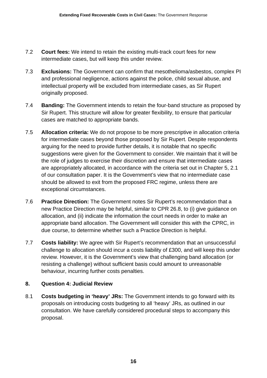- 7.2 **Court fees:** We intend to retain the existing multi-track court fees for new intermediate cases, but will keep this under review.
- 7.3 **Exclusions:** The Government can confirm that mesothelioma/asbestos, complex PI and professional negligence, actions against the police, child sexual abuse, and intellectual property will be excluded from intermediate cases, as Sir Rupert originally proposed.
- 7.4 **Banding:** The Government intends to retain the four-band structure as proposed by Sir Rupert. This structure will allow for greater flexibility, to ensure that particular cases are matched to appropriate bands.
- 7.5 **Allocation criteria:** We do not propose to be more prescriptive in allocation criteria for intermediate cases beyond those proposed by Sir Rupert. Despite respondents arguing for the need to provide further details, it is notable that no specific suggestions were given for the Government to consider. We maintain that it will be the role of judges to exercise their discretion and ensure that intermediate cases are appropriately allocated, in accordance with the criteria set out in Chapter 5, 2.1 of our consultation paper. It is the Government's view that no intermediate case should be allowed to exit from the proposed FRC regime, unless there are exceptional circumstances.
- 7.6 **Practice Direction:** The Government notes Sir Rupert's recommendation that a new Practice Direction may be helpful, similar to CPR 26.8, to (i) give guidance on allocation, and (ii) indicate the information the court needs in order to make an appropriate band allocation. The Government will consider this with the CPRC, in due course, to determine whether such a Practice Direction is helpful.
- 7.7 **Costs liability:** We agree with Sir Rupert's recommendation that an unsuccessful challenge to allocation should incur a costs liability of £300, and will keep this under review. However, it is the Government's view that challenging band allocation (or resisting a challenge) without sufficient basis could amount to unreasonable behaviour, incurring further costs penalties.

#### **8. Question 4: Judicial Review**

8.1 **Costs budgeting in 'heavy' JRs:** The Government intends to go forward with its proposals on introducing costs budgeting to all 'heavy' JRs, as outlined in our consultation. We have carefully considered procedural steps to accompany this proposal.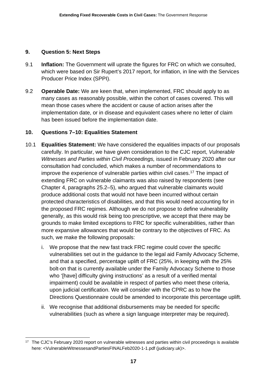#### **9. Question 5: Next Steps**

- 9.1 **Inflation:** The Government will uprate the figures for FRC on which we consulted, which were based on Sir Rupert's 2017 report, for inflation, in line with the Services Producer Price Index (SPPI).
- 9.2 **Operable Date:** We are keen that, when implemented, FRC should apply to as many cases as reasonably possible, within the cohort of cases covered. This will mean those cases where the accident or cause of action arises after the implementation date, or in disease and equivalent cases where no letter of claim has been issued before the implementation date.

#### **10. Questions 7–10: Equalities Statement**

- 10.1 **Equalities Statement:** We have considered the equalities impacts of our proposals carefully. In particular, we have given consideration to the CJC report, *Vulnerable Witnesses and Parties within Civil Proceedings,* issued in February 2020 after our consultation had concluded, which makes a number of recommendations to improve the experience of vulnerable parties within civil cases.[17](#page-18-0) The impact of extending FRC on vulnerable claimants was also raised by respondents (see Chapter 4, paragraphs 25.2–5), who argued that vulnerable claimants would produce additional costs that would not have been incurred without certain protected characteristics of disabilities, and that this would need accounting for in the proposed FRC regimes. Although we do not propose to define vulnerability generally, as this would risk being too prescriptive, we accept that there may be grounds to make limited exceptions to FRC for specific vulnerabilities, rather than more expansive allowances that would be contrary to the objectives of FRC. As such, we make the following proposals:
	- i. We propose that the new fast track FRC regime could cover the specific vulnerabilities set out in the guidance to the legal aid Family Advocacy Scheme, and that a specified, percentage uplift of FRC (25%, in keeping with the 25% bolt-on that is currently available under the Family Advocacy Scheme to those who '[have] difficulty giving instructions' as a result of a verified mental impairment) could be available in respect of parties who meet these criteria, upon judicial certification. We will consider with the CPRC as to how the Directions Questionnaire could be amended to incorporate this percentage uplift.
	- ii. We recognise that additional disbursements may be needed for specific vulnerabilities (such as where a sign language interpreter may be required).

<span id="page-18-0"></span><sup>&</sup>lt;sup>17</sup> The CJC's February 2020 report on vulnerable witnesses and parties within civil proceedings is available here: [<VulnerableWitnessesandPartiesFINALFeb2020-1-1.pdf \(judiciary.uk\)>](https://www.judiciary.uk/wp-content/uploads/2020/02/VulnerableWitnessesandPartiesFINALFeb2020-1-1.pdf).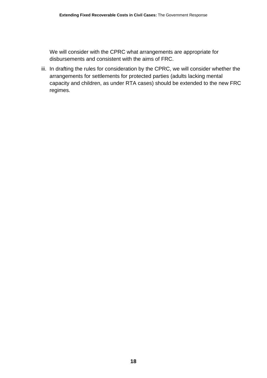We will consider with the CPRC what arrangements are appropriate for disbursements and consistent with the aims of FRC.

iii. In drafting the rules for consideration by the CPRC, we will consider whether the arrangements for settlements for protected parties (adults lacking mental capacity and children, as under RTA cases) should be extended to the new FRC regimes.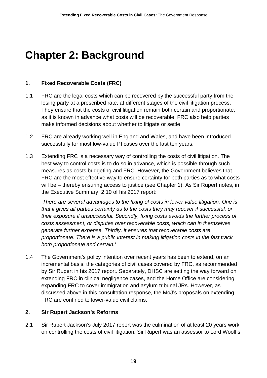# <span id="page-20-0"></span>**Chapter 2: Background**

#### **1. Fixed Recoverable Costs (FRC)**

- 1.1 FRC are the legal costs which can be recovered by the successful party from the losing party at a prescribed rate, at different stages of the civil litigation process. They ensure that the costs of civil litigation remain both certain and proportionate, as it is known in advance what costs will be recoverable. FRC also help parties make informed decisions about whether to litigate or settle.
- 1.2 FRC are already working well in England and Wales, and have been introduced successfully for most low-value PI cases over the last ten years.
- 1.3 Extending FRC is a necessary way of controlling the costs of civil litigation. The best way to control costs is to do so in advance, which is possible through such measures as costs budgeting and FRC. However, the Government believes that FRC are the most effective way to ensure certainty for both parties as to what costs will be – thereby ensuring access to justice (see Chapter 1). As Sir Rupert notes, in the Executive Summary, 2.10 of his 2017 report:

*'There are several advantages to the fixing of costs in lower value litigation. One is that it gives all parties certainty as to the costs they may recover if successful, or their exposure if unsuccessful. Secondly, fixing costs avoids the further process of costs assessment, or disputes over recoverable costs, which can in themselves generate further expense. Thirdly, it ensures that recoverable costs are proportionate. There is a public interest in making litigation costs in the fast track both proportionate and certain.'*

1.4 The Government's policy intention over recent years has been to extend, on an incremental basis, the categories of civil cases covered by FRC, as recommended by Sir Rupert in his 2017 report. Separately, DHSC are setting the way forward on extending FRC in clinical negligence cases, and the Home Office are considering expanding FRC to cover immigration and asylum tribunal JRs. However, as discussed above in this consultation response, the MoJ's proposals on extending FRC are confined to lower-value civil claims.

#### **2. Sir Rupert Jackson's Reforms**

2.1 Sir Rupert Jackson's July 2017 report was the culmination of at least 20 years work on controlling the costs of civil litigation. Sir Rupert was an assessor to Lord Woolf's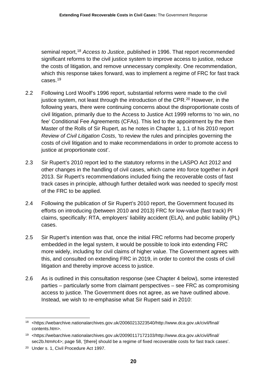seminal report,[18](#page-21-0) *Access to Justice*, published in 1996. That report recommended significant reforms to the civil justice system to improve access to justice, reduce the costs of litigation, and remove unnecessary complexity. One recommendation, which this response takes forward, was to implement a regime of FRC for fast track cases[.19](#page-21-1)

- 2.2 Following Lord Woolf's 1996 report, substantial reforms were made to the civil justice system, not least through the introduction of the CPR.<sup>[20](#page-21-2)</sup> However, in the following years, there were continuing concerns about the disproportionate costs of civil litigation, primarily due to the Access to Justice Act 1999 reforms to 'no win, no fee' Conditional Fee Agreements (CFAs). This led to the appointment by the then Master of the Rolls of Sir Rupert, as he notes in Chapter 1, 1.1 of his 2010 report *Review of Civil Litigation Costs*, 'to review the rules and principles governing the costs of civil litigation and to make recommendations in order to promote access to justice at proportionate cost'.
- 2.3 Sir Rupert's 2010 report led to the statutory reforms in the LASPO Act 2012 and other changes in the handling of civil cases, which came into force together in April 2013. Sir Rupert's recommendations included fixing the recoverable costs of fast track cases in principle, although further detailed work was needed to specify most of the FRC to be applied.
- 2.4 Following the publication of Sir Rupert's 2010 report, the Government focused its efforts on introducing (between 2010 and 2013) FRC for low-value (fast track) PI claims, specifically: RTA, employers' liability accident (ELA), and public liability (PL) cases.
- 2.5 Sir Rupert's intention was that, once the initial FRC reforms had become properly embedded in the legal system, it would be possible to look into extending FRC more widely, including for civil claims of higher value. The Government agrees with this, and consulted on extending FRC in 2019, in order to control the costs of civil litigation and thereby improve access to justice.
- 2.6 As is outlined in this consultation response (see Chapter 4 below), some interested parties – particularly some from claimant perspectives – see FRC as compromising access to justice. The Government does not agree, as we have outlined above. Instead, we wish to re-emphasise what Sir Rupert said in 2010:

<span id="page-21-0"></span><sup>18</sup> [<https://webarchive.nationalarchives.gov.uk/20060213223540/http://www.dca.gov.uk/civil/final/](https://webarchive.nationalarchives.gov.uk/20060213223540/http:/www.dca.gov.uk/civil/final/contents.htm) [contents.htm>](https://webarchive.nationalarchives.gov.uk/20060213223540/http:/www.dca.gov.uk/civil/final/contents.htm).

<span id="page-21-1"></span><sup>19</sup> [<https://webarchive.nationalarchives.gov.uk/20090117172103/http://www.dca.gov.uk/civil/final/](https://webarchive.nationalarchives.gov.uk/20090117172103/http:/www.dca.gov.uk/civil/final/sec2b.htm#c4) [sec2b.htm#c4>](https://webarchive.nationalarchives.gov.uk/20090117172103/http:/www.dca.gov.uk/civil/final/sec2b.htm#c4); page 58, '[there] should be a regime of fixed recoverable costs for fast track cases'.

<span id="page-21-2"></span><sup>20</sup> Under s. 1, Civil Procedure Act 1997.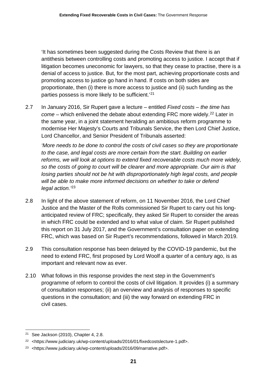'It has sometimes been suggested during the Costs Review that there is an antithesis between controlling costs and promoting access to justice. I accept that if litigation becomes uneconomic for lawyers, so that they cease to practise, there is a denial of access to justice. But, for the most part, achieving proportionate costs and promoting access to justice go hand in hand. If costs on both sides are proportionate, then (i) there is more access to justice and (ii) such funding as the parties possess is more likely to be sufficient.<sup>'[21](#page-22-0)</sup>

2.7 In January 2016, Sir Rupert gave a lecture – entitled *Fixed costs – the time has come* – which enlivened the debate about extending FRC more widely.<sup>[22](#page-22-1)</sup> Later in the same year, in a joint statement heralding an ambitious reform programme to modernise Her Majesty's Courts and Tribunals Service, the then Lord Chief Justice, Lord Chancellor, and Senior President of Tribunals asserted:

*'More needs to be done to control the costs of civil cases so they are proportionate to the case, and legal costs are more certain from the start. Building on earlier reforms, we will look at options to extend fixed recoverable costs much more widely, so the costs of going to court will be clearer and more appropriate. Our aim is that losing parties should not be hit with disproportionately high legal costs, and people will be able to make more informed decisions on whether to take or defend legal action.'*[23](#page-22-2)

- 2.8 In light of the above statement of reform, on 11 November 2016, the Lord Chief Justice and the Master of the Rolls commissioned Sir Rupert to carry out his longanticipated review of FRC; specifically, they asked Sir Rupert to consider the areas in which FRC could be extended and to what value of claim. Sir Rupert published this report on 31 July 2017, and the Government's consultation paper on extending FRC, which was based on Sir Rupert's recommendations, followed in March 2019.
- 2.9 This consultation response has been delayed by the COVID-19 pandemic, but the need to extend FRC, first proposed by Lord Woolf a quarter of a century ago, is as important and relevant now as ever.
- 2.10 What follows in this response provides the next step in the Government's programme of reform to control the costs of civil litigation. It provides (i) a summary of consultation responses; (ii) an overview and analysis of responses to specific questions in the consultation; and (iii) the way forward on extending FRC in civil cases.

<span id="page-22-0"></span><sup>21</sup> See Jackson (2010), Chapter 4, 2.8.

<span id="page-22-1"></span><sup>22</sup> [<https://www.judiciary.uk/wp-content/uploads/2016/01/fixedcostslecture-1.pdf>](https://www.judiciary.uk/wp-content/uploads/2016/01/fixedcostslecture-1.pdf).

<span id="page-22-2"></span><sup>23</sup> [<https://www.judiciary.uk/wp-content/uploads/2016/09/narrative.pdf>](https://www.judiciary.uk/wp-content/uploads/2016/09/narrative.pdf).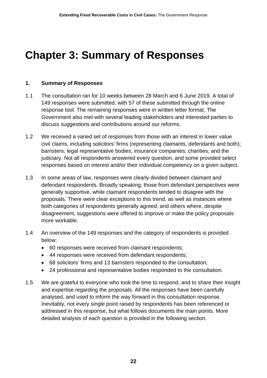### <span id="page-23-0"></span>**Chapter 3: Summary of Responses**

#### **1. Summary of Responses**

- 1.1 The consultation ran for 10 weeks between 28 March and 6 June 2019. A total of 149 responses were submitted, with 57 of these submitted through the online response tool. The remaining responses were in written letter format. The Government also met with several leading stakeholders and interested parties to discuss suggestions and contributions around our reforms.
- 1.2 We received a varied set of responses from those with an interest in lower value civil claims, including solicitors' firms (representing claimants, defendants and both); barristers; legal representative bodies; insurance companies; charities; and the judiciary. Not all respondents answered every question, and some provided select responses based on interest and/or their individual competency on a given subject.
- 1.3 In some areas of law, responses were clearly divided between claimant and defendant respondents. Broadly speaking, those from defendant perspectives were generally supportive, while claimant respondents tended to disagree with the proposals. There were clear exceptions to this trend, as well as instances where both categories of respondents generally agreed, and others where, despite disagreement, suggestions were offered to improve or make the policy proposals more workable.
- 1.4 An overview of the 149 responses and the category of respondents is provided below:
	- 60 responses were received from claimant respondents;
	- 44 responses were received from defendant respondents;
	- 68 solicitors' firms and 13 barristers responded to the consultation;
	- 24 professional and representative bodies responded to the consultation.
- 1.5 We are grateful to everyone who took the time to respond, and to share their insight and expertise regarding the proposals. All the responses have been carefully analysed, and used to inform the way forward in this consultation response. Inevitably, not every single point raised by respondents has been referenced or addressed in this response, but what follows documents the main points. More detailed analysis of each question is provided in the following section.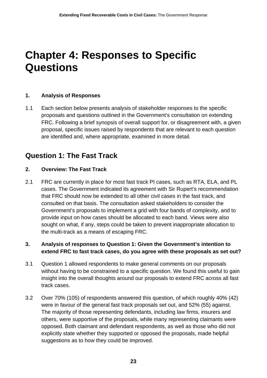### <span id="page-24-0"></span>**Chapter 4: Responses to Specific Questions**

#### **1. Analysis of Responses**

1.1 Each section below presents analysis of stakeholder responses to the specific proposals and questions outlined in the Government's consultation on extending FRC. Following a brief synopsis of overall support for, or disagreement with, a given proposal, specific issues raised by respondents that are relevant to each question are identified and, where appropriate, examined in more detail.

### <span id="page-24-1"></span>**Question 1: The Fast Track**

#### **2. Overview: The Fast Track**

2.1 FRC are currently in place for most fast track PI cases, such as RTA, ELA, and PL cases. The Government indicated its agreement with Sir Rupert's recommendation that FRC should now be extended to all other civil cases in the fast track, and consulted on that basis. The consultation asked stakeholders to consider the Government's proposals to implement a grid with four bands of complexity, and to provide input on how cases should be allocated to each band. Views were also sought on what, if any, steps could be taken to prevent inappropriate allocation to the multi-track as a means of escaping FRC.

#### **3. Analysis of responses to Question 1: Given the Government's intention to extend FRC to fast track cases, do you agree with these proposals as set out?**

- 3.1 Question 1 allowed respondents to make general comments on our proposals without having to be constrained to a specific question. We found this useful to gain insight into the overall thoughts around our proposals to extend FRC across all fast track cases.
- 3.2 Over 70% (105) of respondents answered this question, of which roughly 40% (42) were in favour of the general fast track proposals set out, and 52% (55) against. The majority of those representing defendants, including law firms, insurers and others, were supportive of the proposals, while many representing claimants were opposed. Both claimant and defendant respondents, as well as those who did not explicitly state whether they supported or opposed the proposals, made helpful suggestions as to how they could be improved.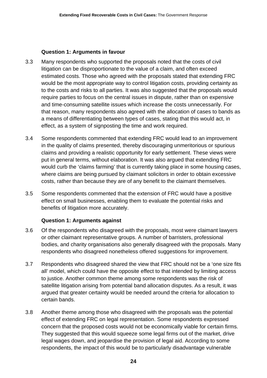#### **Question 1: Arguments in favour**

- 3.3 Many respondents who supported the proposals noted that the costs of civil litigation can be disproportionate to the value of a claim, and often exceed estimated costs. Those who agreed with the proposals stated that extending FRC would be the most appropriate way to control litigation costs, providing certainty as to the costs and risks to all parties. It was also suggested that the proposals would require parties to focus on the central issues in dispute, rather than on expensive and time-consuming satellite issues which increase the costs unnecessarily. For that reason, many respondents also agreed with the allocation of cases to bands as a means of differentiating between types of cases, stating that this would act, in effect, as a system of signposting the time and work required.
- 3.4 Some respondents commented that extending FRC would lead to an improvement in the quality of claims presented, thereby discouraging unmeritorious or spurious claims and providing a realistic opportunity for early settlement. These views were put in general terms, without elaboration. It was also argued that extending FRC would curb the 'claims farming' that is currently taking place in some housing cases, where claims are being pursued by claimant solicitors in order to obtain excessive costs, rather than because they are of any benefit to the claimant themselves.
- 3.5 Some respondents commented that the extension of FRC would have a positive effect on small businesses, enabling them to evaluate the potential risks and benefits of litigation more accurately.

#### **Question 1: Arguments against**

- 3.6 Of the respondents who disagreed with the proposals, most were claimant lawyers or other claimant representative groups. A number of barristers, professional bodies, and charity organisations also generally disagreed with the proposals. Many respondents who disagreed nonetheless offered suggestions for improvement.
- 3.7 Respondents who disagreed shared the view that FRC should not be a 'one size fits all' model, which could have the opposite effect to that intended by limiting access to justice. Another common theme among some respondents was the risk of satellite litigation arising from potential band allocation disputes. As a result, it was argued that greater certainty would be needed around the criteria for allocation to certain bands.
- 3.8 Another theme among those who disagreed with the proposals was the potential effect of extending FRC on legal representation. Some respondents expressed concern that the proposed costs would not be economically viable for certain firms. They suggested that this would squeeze some legal firms out of the market, drive legal wages down, and jeopardise the provision of legal aid. According to some respondents, the impact of this would be to particularly disadvantage vulnerable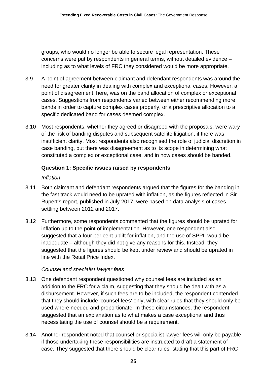groups, who would no longer be able to secure legal representation. These concerns were put by respondents in general terms, without detailed evidence – including as to what levels of FRC they considered would be more appropriate.

- 3.9 A point of agreement between claimant and defendant respondents was around the need for greater clarity in dealing with complex and exceptional cases. However, a point of disagreement, here, was on the band allocation of complex or exceptional cases. Suggestions from respondents varied between either recommending more bands in order to capture complex cases properly, or a prescriptive allocation to a specific dedicated band for cases deemed complex.
- 3.10 Most respondents, whether they agreed or disagreed with the proposals, were wary of the risk of banding disputes and subsequent satellite litigation, if there was insufficient clarity. Most respondents also recognised the role of judicial discretion in case banding, but there was disagreement as to its scope in determining what constituted a complex or exceptional case, and in how cases should be banded.

#### **Question 1: Specific issues raised by respondents**

*Inflation*

- 3.11 Both claimant and defendant respondents argued that the figures for the banding in the fast track would need to be uprated with inflation, as the figures reflected in Sir Rupert's report, published in July 2017, were based on data analysis of cases settling between 2012 and 2017.
- 3.12 Furthermore, some respondents commented that the figures should be uprated for inflation up to the point of implementation. However, one respondent also suggested that a four per cent uplift for inflation, and the use of SPPI, would be inadequate – although they did not give any reasons for this. Instead, they suggested that the figures should be kept under review and should be uprated in line with the Retail Price Index.

#### *Counsel and specialist lawyer fees*

- 3.13 One defendant respondent questioned why counsel fees are included as an addition to the FRC for a claim, suggesting that they should be dealt with as a disbursement. However, if such fees are to be included, the respondent contended that they should include 'counsel fees' only, with clear rules that they should only be used where needed and proportionate. In these circumstances, the respondent suggested that an explanation as to what makes a case exceptional and thus necessitating the use of counsel should be a requirement.
- 3.14 Another respondent noted that counsel or specialist lawyer fees will only be payable if those undertaking these responsibilities are instructed to draft a statement of case. They suggested that there should be clear rules, stating that this part of FRC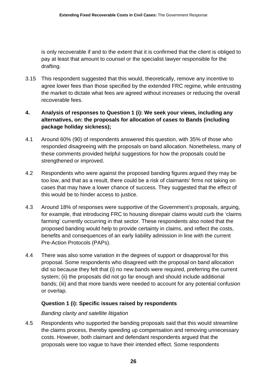is only recoverable if and to the extent that it is confirmed that the client is obliged to pay at least that amount to counsel or the specialist lawyer responsible for the drafting.

3.15 This respondent suggested that this would, theoretically, remove any incentive to agree lower fees than those specified by the extended FRC regime, while entrusting the market to dictate what fees are agreed without increases or reducing the overall recoverable fees.

#### **4. Analysis of responses to Question 1 (i): We seek your views, including any alternatives, on: the proposals for allocation of cases to Bands (including package holiday sickness);**

- 4.1 Around 60% (90) of respondents answered this question, with 35% of those who responded disagreeing with the proposals on band allocation. Nonetheless, many of these comments provided helpful suggestions for how the proposals could be strengthened or improved.
- 4.2 Respondents who were against the proposed banding figures argued they may be too low, and that as a result, there could be a risk of claimants' firms not taking on cases that may have a lower chance of success. They suggested that the effect of this would be to hinder access to justice.
- 4.3 Around 18% of responses were supportive of the Government's proposals, arguing, for example, that introducing FRC to housing disrepair claims would curb the 'claims farming' currently occurring in that sector. These respondents also noted that the proposed banding would help to provide certainty in claims, and reflect the costs, benefits and consequences of an early liability admission in line with the current Pre-Action Protocols (PAPs).
- 4.4 There was also some variation in the degrees of support or disapproval for this proposal. Some respondents who disagreed with the proposal on band allocation did so because they felt that (i) no new bands were required, preferring the current system; (ii) the proposals did not go far enough and should include additional bands; (iii) and that more bands were needed to account for any potential confusion or overlap.

#### **Question 1 (i): Specific issues raised by respondents**

#### *Banding clarity and satellite litigation*

4.5 Respondents who supported the banding proposals said that this would streamline the claims process, thereby speeding up compensation and removing unnecessary costs. However, both claimant and defendant respondents argued that the proposals were too vague to have their intended effect. Some respondents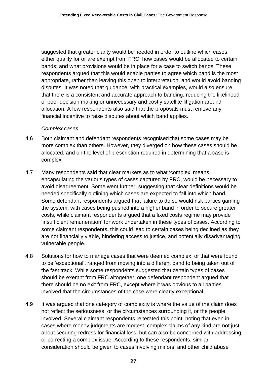suggested that greater clarity would be needed in order to outline which cases either qualify for or are exempt from FRC; how cases would be allocated to certain bands; and what provisions would be in place for a case to switch bands. These respondents argued that this would enable parties to agree which band is the most appropriate, rather than leaving this open to interpretation, and would avoid banding disputes. It was noted that guidance, with practical examples, would also ensure that there is a consistent and accurate approach to banding, reducing the likelihood of poor decision making or unnecessary and costly satellite litigation around allocation. A few respondents also said that the proposals must remove any financial incentive to raise disputes about which band applies.

#### *Complex cases*

- 4.6 Both claimant and defendant respondents recognised that some cases may be more complex than others. However, they diverged on how these cases should be allocated, and on the level of prescription required in determining that a case is complex.
- 4.7 Many respondents said that clear markers as to what 'complex' means, encapsulating the various types of cases captured by FRC, would be necessary to avoid disagreement. Some went further, suggesting that clear definitions would be needed specifically outlining which cases are expected to fall into which band. Some defendant respondents argued that failure to do so would risk parties gaming the system, with cases being pushed into a higher band in order to secure greater costs, while claimant respondents argued that a fixed costs regime may provide 'insufficient remuneration' for work undertaken in these types of cases. According to some claimant respondents, this could lead to certain cases being declined as they are not financially viable, hindering access to justice, and potentially disadvantaging vulnerable people.
- 4.8 Solutions for how to manage cases that were deemed complex, or that were found to be 'exceptional', ranged from moving into a different band to being taken out of the fast track. While some respondents suggested that certain types of cases should be exempt from FRC altogether, one defendant respondent argued that there should be no exit from FRC, except where it was obvious to all parties involved that the circumstances of the case were clearly exceptional.
- 4.9 It was argued that one category of complexity is where the value of the claim does not reflect the seriousness, or the circumstances surrounding it, or the people involved. Several claimant respondents reiterated this point, noting that even in cases where money judgments are modest, complex claims of any kind are not just about securing redress for financial loss, but can also be concerned with addressing or correcting a complex issue. According to these respondents, similar consideration should be given to cases involving minors, and other child abuse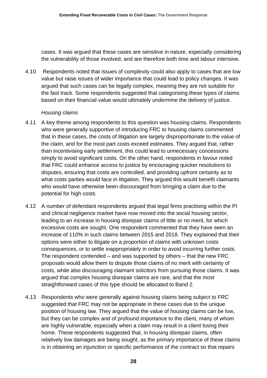cases. It was argued that these cases are sensitive in nature, especially considering the vulnerability of those involved, and are therefore both time and labour intensive.

4.10 Respondents noted that issues of complexity could also apply to cases that are low value but raise issues of wider importance that could lead to policy changes. It was argued that such cases can be legally complex, meaning they are not suitable for the fast track. Some respondents suggested that categorising these types of claims based on their financial value would ultimately undermine the delivery of justice.

#### *Housing claims*

- 4.11 A key theme among respondents to this question was housing claims. Respondents who were generally supportive of introducing FRC to housing claims commented that in these cases, the costs of litigation are largely disproportionate to the value of the claim, and for the most part costs exceed estimates. They argued that, rather than incentivising early settlement, this could lead to unnecessary concessions simply to avoid significant costs. On the other hand, respondents in favour noted that FRC could enhance access to justice by encouraging quicker resolutions to disputes, ensuring that costs are controlled, and providing upfront certainty as to what costs parties would face in litigation. They argued this would benefit claimants who would have otherwise been discouraged from bringing a claim due to the potential for high costs.
- 4.12 A number of defendant respondents argued that legal firms practising within the PI and clinical negligence market have now moved into the social housing sector, leading to an increase in housing disrepair claims of little or no merit, for which excessive costs are sought. One respondent commented that they have seen an increase of 110% in such claims between 2015 and 2018. They explained that their options were either to litigate on a proportion of claims with unknown costs consequences, or to settle inappropriately in order to avoid incurring further costs. The respondent contended – and was supported by others – that the new FRC proposals would allow them to dispute those claims of no merit with certainty of costs, while also discouraging claimant solicitors from pursuing those claims. It was argued that complex housing disrepair claims are rare, and that the most straightforward cases of this type should be allocated to Band 2.
- 4.13 Respondents who were generally against housing claims being subject to FRC suggested that FRC may not be appropriate in these cases due to the unique position of housing law. They argued that the value of housing claims can be low, but they can be complex and of profound importance to the client, many of whom are highly vulnerable, especially when a claim may result in a client losing their home. These respondents suggested that, in housing disrepair claims, often relatively low damages are being sought, as the primary importance of these claims is in obtaining an injunction or specific performance of the contract so that repairs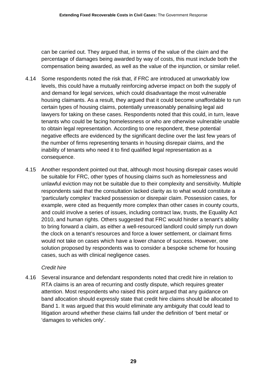can be carried out. They argued that, in terms of the value of the claim and the percentage of damages being awarded by way of costs, this must include both the compensation being awarded, as well as the value of the injunction, or similar relief.

- 4.14 Some respondents noted the risk that, if FRC are introduced at unworkably low levels, this could have a mutually reinforcing adverse impact on both the supply of and demand for legal services, which could disadvantage the most vulnerable housing claimants. As a result, they argued that it could become unaffordable to run certain types of housing claims, potentially unreasonably penalising legal aid lawyers for taking on these cases. Respondents noted that this could, in turn, leave tenants who could be facing homelessness or who are otherwise vulnerable unable to obtain legal representation. According to one respondent, these potential negative effects are evidenced by the significant decline over the last few years of the number of firms representing tenants in housing disrepair claims, and the inability of tenants who need it to find qualified legal representation as a consequence.
- 4.15 Another respondent pointed out that, although most housing disrepair cases would be suitable for FRC, other types of housing claims such as homelessness and unlawful eviction may not be suitable due to their complexity and sensitivity. Multiple respondents said that the consultation lacked clarity as to what would constitute a 'particularly complex' tracked possession or disrepair claim. Possession cases, for example, were cited as frequently more complex than other cases in county courts, and could involve a series of issues, including contract law, trusts, the Equality Act 2010, and human rights. Others suggested that FRC would hinder a tenant's ability to bring forward a claim, as either a well-resourced landlord could simply run down the clock on a tenant's resources and force a lower settlement, or claimant firms would not take on cases which have a lower chance of success. However, one solution proposed by respondents was to consider a bespoke scheme for housing cases, such as with clinical negligence cases.

#### *Credit hire*

4.16 Several insurance and defendant respondents noted that credit hire in relation to RTA claims is an area of recurring and costly dispute, which requires greater attention. Most respondents who raised this point argued that any guidance on band allocation should expressly state that credit hire claims should be allocated to Band 1. It was argued that this would eliminate any ambiguity that could lead to litigation around whether these claims fall under the definition of 'bent metal' or 'damages to vehicles only'.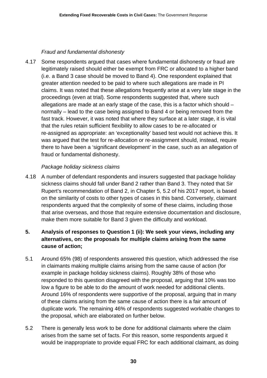#### *Fraud and fundamental dishonesty*

4.17 Some respondents argued that cases where fundamental dishonesty or fraud are legitimately raised should either be exempt from FRC or allocated to a higher band (i.e. a Band 3 case should be moved to Band 4). One respondent explained that greater attention needed to be paid to where such allegations are made in PI claims. It was noted that these allegations frequently arise at a very late stage in the proceedings (even at trial). Some respondents suggested that, where such allegations are made at an early stage of the case, this is a factor which should – normally – lead to the case being assigned to Band 4 or being removed from the fast track. However, it was noted that where they surface at a later stage, it is vital that the rules retain sufficient flexibility to allow cases to be re-allocated or re-assigned as appropriate: an 'exceptionality' based test would not achieve this. It was argued that the test for re-allocation or re-assignment should, instead, require there to have been a 'significant development' in the case, such as an allegation of fraud or fundamental dishonesty.

#### *Package holiday sickness claims*

4.18 A number of defendant respondents and insurers suggested that package holiday sickness claims should fall under Band 2 rather than Band 3. They noted that Sir Rupert's recommendation of Band 2, in Chapter 5, 5.2 of his 2017 report, is based on the similarity of costs to other types of cases in this band. Conversely, claimant respondents argued that the complexity of some of these claims, including those that arise overseas, and those that require extensive documentation and disclosure, make them more suitable for Band 3 given the difficulty and workload.

#### **5. Analysis of responses to Question 1 (ii): We seek your views, including any alternatives, on: the proposals for multiple claims arising from the same cause of action;**

- 5.1 Around 65% (98) of respondents answered this question, which addressed the rise in claimants making multiple claims arising from the same cause of action (for example in package holiday sickness claims). Roughly 38% of those who responded to this question disagreed with the proposal, arguing that 10% was too low a figure to be able to do the amount of work needed for additional clients. Around 16% of respondents were supportive of the proposal, arguing that in many of these claims arising from the same cause of action there is a fair amount of duplicate work. The remaining 46% of respondents suggested workable changes to the proposal, which are elaborated on further below.
- 5.2 There is generally less work to be done for additional claimants where the claim arises from the same set of facts. For this reason, some respondents argued it would be inappropriate to provide equal FRC for each additional claimant, as doing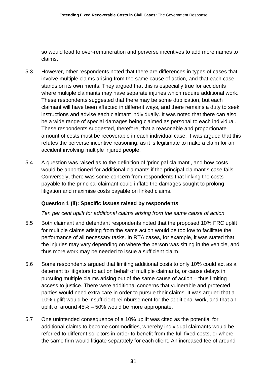so would lead to over-remuneration and perverse incentives to add more names to claims.

- 5.3 However, other respondents noted that there are differences in types of cases that involve multiple claims arising from the same cause of action, and that each case stands on its own merits. They argued that this is especially true for accidents where multiple claimants may have separate injuries which require additional work. These respondents suggested that there may be some duplication, but each claimant will have been affected in different ways, and there remains a duty to seek instructions and advise each claimant individually. It was noted that there can also be a wide range of special damages being claimed as personal to each individual. These respondents suggested, therefore, that a reasonable and proportionate amount of costs must be recoverable in each individual case. It was argued that this refutes the perverse incentive reasoning, as it is legitimate to make a claim for an accident involving multiple injured people.
- 5.4 A question was raised as to the definition of 'principal claimant', and how costs would be apportioned for additional claimants if the principal claimant's case fails. Conversely, there was some concern from respondents that linking the costs payable to the principal claimant could inflate the damages sought to prolong litigation and maximise costs payable on linked claims.

#### **Question 1 (ii): Specific issues raised by respondents**

#### *Ten per cent uplift for additional claims arising from the same cause of action*

- 5.5 Both claimant and defendant respondents noted that the proposed 10% FRC uplift for multiple claims arising from the same action would be too low to facilitate the performance of all necessary tasks. In RTA cases, for example, it was stated that the injuries may vary depending on where the person was sitting in the vehicle, and thus more work may be needed to issue a sufficient claim.
- 5.6 Some respondents argued that limiting additional costs to only 10% could act as a deterrent to litigators to act on behalf of multiple claimants, or cause delays in pursuing multiple claims arising out of the same cause of action – thus limiting access to justice. There were additional concerns that vulnerable and protected parties would need extra care in order to pursue their claims. It was argued that a 10% uplift would be insufficient reimbursement for the additional work, and that an uplift of around 45% – 50% would be more appropriate.
- 5.7 One unintended consequence of a 10% uplift was cited as the potential for additional claims to become commodities, whereby individual claimants would be referred to different solicitors in order to benefit from the full fixed costs, or where the same firm would litigate separately for each client. An increased fee of around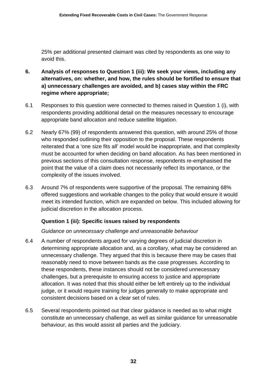25% per additional presented claimant was cited by respondents as one way to avoid this.

- **6. Analysis of responses to Question 1 (iii): We seek your views, including any alternatives, on: whether, and how, the rules should be fortified to ensure that a) unnecessary challenges are avoided, and b) cases stay within the FRC regime where appropriate;**
- 6.1 Responses to this question were connected to themes raised in Question 1 (i), with respondents providing additional detail on the measures necessary to encourage appropriate band allocation and reduce satellite litigation.
- 6.2 Nearly 67% (99) of respondents answered this question, with around 25% of those who responded outlining their opposition to the proposal. These respondents reiterated that a 'one size fits all' model would be inappropriate, and that complexity must be accounted for when deciding on band allocation. As has been mentioned in previous sections of this consultation response, respondents re-emphasised the point that the value of a claim does not necessarily reflect its importance, or the complexity of the issues involved.
- 6.3 Around 7% of respondents were supportive of the proposal. The remaining 68% offered suggestions and workable changes to the policy that would ensure it would meet its intended function, which are expanded on below. This included allowing for judicial discretion in the allocation process.

#### **Question 1 (iii): Specific issues raised by respondents**

*Guidance on unnecessary challenge and unreasonable behaviour*

- 6.4 A number of respondents argued for varying degrees of judicial discretion in determining appropriate allocation and, as a corollary, what may be considered an unnecessary challenge. They argued that this is because there may be cases that reasonably need to move between bands as the case progresses. According to these respondents, these instances should not be considered unnecessary challenges, but a prerequisite to ensuring access to justice and appropriate allocation. It was noted that this should either be left entirely up to the individual judge, or it would require training for judges generally to make appropriate and consistent decisions based on a clear set of rules.
- 6.5 Several respondents pointed out that clear guidance is needed as to what might constitute an unnecessary challenge, as well as similar guidance for unreasonable behaviour, as this would assist all parties and the judiciary.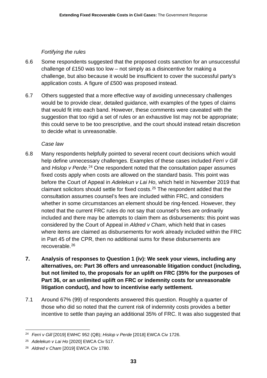#### *Fortifying the rules*

- 6.6 Some respondents suggested that the proposed costs sanction for an unsuccessful challenge of £150 was too low – not simply as a disincentive for making a challenge, but also because it would be insufficient to cover the successful party's application costs. A figure of £500 was proposed instead.
- 6.7 Others suggested that a more effective way of avoiding unnecessary challenges would be to provide clear, detailed guidance, with examples of the types of claims that would fit into each band. However, these comments were caveated with the suggestion that too rigid a set of rules or an exhaustive list may not be appropriate; this could serve to be too prescriptive, and the court should instead retain discretion to decide what is unreasonable.

#### *Case law*

- 6.8 Many respondents helpfully pointed to several recent court decisions which would help define unnecessary challenges. Examples of these cases included *Ferri v Gill* and *Hislop v Perde*. [24](#page-34-0) One respondent noted that the consultation paper assumes fixed costs apply when costs are allowed on the standard basis. This point was before the Court of Appeal in *Adelekun v Lai Ho*, which held in November 2019 that claimant solicitors should settle for fixed costs.[25](#page-34-1) The respondent added that the consultation assumes counsel's fees are included within FRC, and considers whether in some circumstances an element should be ring-fenced. However, they noted that the current FRC rules do not say that counsel's fees are ordinarily included and there may be attempts to claim them as disbursements: this point was considered by the Court of Appeal in *Aldred v Cham*, which held that in cases where items are claimed as disbursements for work already included within the FRC in Part 45 of the CPR, then no additional sums for these disbursements are recoverable.[26](#page-34-2)
- **7. Analysis of responses to Question 1 (iv): We seek your views, including any alternatives, on: Part 36 offers and unreasonable litigation conduct (including, but not limited to, the proposals for an uplift on FRC (35% for the purposes of Part 36, or an unlimited uplift on FRC or indemnity costs for unreasonable litigation conduct), and how to incentivise early settlement.**
- 7.1 Around 67% (99) of respondents answered this question. Roughly a quarter of those who did so noted that the current risk of indemnity costs provides a better incentive to settle than paying an additional 35% of FRC. It was also suggested that

<span id="page-34-0"></span><sup>24</sup> *Ferri v Gill* [2019] EWHC 952 (QB); *Hislop v Perde* [2018] EWCA Civ 1726.

<span id="page-34-1"></span><sup>25</sup> *Adelekun v Lai Ho* [2020] EWCA Civ 517.

<span id="page-34-2"></span><sup>26</sup> *Aldred v Cham* [2019] EWCA Civ 1780.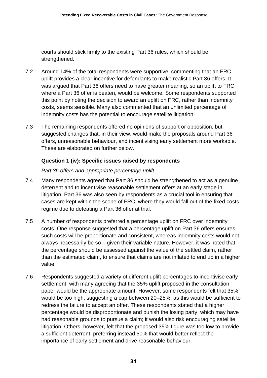courts should stick firmly to the existing Part 36 rules, which should be strengthened.

- 7.2 Around 14% of the total respondents were supportive, commenting that an FRC uplift provides a clear incentive for defendants to make realistic Part 36 offers. It was argued that Part 36 offers need to have greater meaning, so an uplift to FRC, where a Part 36 offer is beaten, would be welcome. Some respondents supported this point by noting the decision to award an uplift on FRC, rather than indemnity costs, seems sensible. Many also commented that an unlimited percentage of indemnity costs has the potential to encourage satellite litigation.
- 7.3 The remaining respondents offered no opinions of support or opposition, but suggested changes that, in their view, would make the proposals around Part 36 offers, unreasonable behaviour, and incentivising early settlement more workable. These are elaborated on further below.

#### **Question 1 (iv): Specific issues raised by respondents**

#### *Part 36 offers and appropriate percentage uplift*

- 7.4 Many respondents agreed that Part 36 should be strengthened to act as a genuine deterrent and to incentivise reasonable settlement offers at an early stage in litigation. Part 36 was also seen by respondents as a crucial tool in ensuring that cases are kept within the scope of FRC, where they would fall out of the fixed costs regime due to defeating a Part 36 offer at trial.
- 7.5 A number of respondents preferred a percentage uplift on FRC over indemnity costs. One response suggested that a percentage uplift on Part 36 offers ensures such costs will be proportionate and consistent, whereas indemnity costs would not always necessarily be so – given their variable nature. However, it was noted that the percentage should be assessed against the value of the settled claim, rather than the estimated claim, to ensure that claims are not inflated to end up in a higher value.
- 7.6 Respondents suggested a variety of different uplift percentages to incentivise early settlement, with many agreeing that the 35% uplift proposed in the consultation paper would be the appropriate amount. However, some respondents felt that 35% would be too high, suggesting a cap between 20–25%, as this would be sufficient to redress the failure to accept an offer. These respondents stated that a higher percentage would be disproportionate and punish the losing party, which may have had reasonable grounds to pursue a claim; it would also risk encouraging satellite litigation. Others, however, felt that the proposed 35% figure was too low to provide a sufficient deterrent, preferring instead 50% that would better reflect the importance of early settlement and drive reasonable behaviour.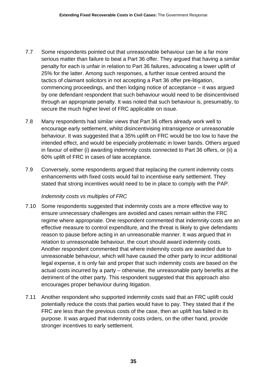- 7.7 Some respondents pointed out that unreasonable behaviour can be a far more serious matter than failure to beat a Part 36 offer. They argued that having a similar penalty for each is unfair in relation to Part 36 failures, advocating a lower uplift of 25% for the latter. Among such responses, a further issue centred around the tactics of claimant solicitors in not accepting a Part 36 offer pre-litigation, commencing proceedings, and then lodging notice of acceptance – it was argued by one defendant respondent that such behaviour would need to be disincentivised through an appropriate penalty. It was noted that such behaviour is, presumably, to secure the much higher level of FRC applicable on issue.
- 7.8 Many respondents had similar views that Part 36 offers already work well to encourage early settlement, whilst disincentivising intransigence or unreasonable behaviour. It was suggested that a 35% uplift on FRC would be too low to have the intended effect, and would be especially problematic in lower bands. Others argued in favour of either (i) awarding indemnity costs connected to Part 36 offers, or (ii) a 60% uplift of FRC in cases of late acceptance.
- 7.9 Conversely, some respondents argued that replacing the current indemnity costs enhancements with fixed costs would fail to incentivise early settlement. They stated that strong incentives would need to be in place to comply with the PAP.

# *Indemnity costs vs multiples of FRC*

- 7.10 Some respondents suggested that indemnity costs are a more effective way to ensure unnecessary challenges are avoided and cases remain within the FRC regime where appropriate. One respondent commented that indemnity costs are an effective measure to control expenditure, and the threat is likely to give defendants reason to pause before acting in an unreasonable manner. It was argued that in relation to unreasonable behaviour, the court should award indemnity costs. Another respondent commented that where indemnity costs are awarded due to unreasonable behaviour, which will have caused the other party to incur additional legal expense, it is only fair and proper that such indemnity costs are based on the actual costs incurred by a party – otherwise, the unreasonable party benefits at the detriment of the other party. This respondent suggested that this approach also encourages proper behaviour during litigation.
- 7.11 Another respondent who supported indemnity costs said that an FRC uplift could potentially reduce the costs that parties would have to pay. They stated that if the FRC are less than the previous costs of the case, then an uplift has failed in its purpose. It was argued that indemnity costs orders, on the other hand, provide stronger incentives to early settlement.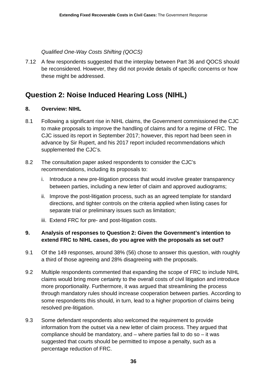# *Qualified One-Way Costs Shifting (QOCS)*

7.12 A few respondents suggested that the interplay between Part 36 and QOCS should be reconsidered. However, they did not provide details of specific concerns or how these might be addressed.

# **Question 2: Noise Induced Hearing Loss (NIHL)**

#### **8. Overview: NIHL**

- 8.1 Following a significant rise in NIHL claims, the Government commissioned the CJC to make proposals to improve the handling of claims and for a regime of FRC. The CJC issued its report in September 2017; however, this report had been seen in advance by Sir Rupert, and his 2017 report included recommendations which supplemented the CJC's.
- 8.2 The consultation paper asked respondents to consider the CJC's recommendations, including its proposals to:
	- i. Introduce a new pre-litigation process that would involve greater transparency between parties, including a new letter of claim and approved audiograms;
	- ii. Improve the post-litigation process, such as an agreed template for standard directions, and tighter controls on the criteria applied when listing cases for separate trial or preliminary issues such as limitation;
	- iii. Extend FRC for pre- and post-litigation costs.

#### **9. Analysis of responses to Question 2: Given the Government's intention to extend FRC to NIHL cases, do you agree with the proposals as set out?**

- 9.1 Of the 149 responses, around 38% (56) chose to answer this question, with roughly a third of those agreeing and 28% disagreeing with the proposals.
- 9.2 Multiple respondents commented that expanding the scope of FRC to include NIHL claims would bring more certainty to the overall costs of civil litigation and introduce more proportionality. Furthermore, it was argued that streamlining the process through mandatory rules should increase cooperation between parties. According to some respondents this should, in turn, lead to a higher proportion of claims being resolved pre-litigation.
- 9.3 Some defendant respondents also welcomed the requirement to provide information from the outset via a new letter of claim process. They argued that compliance should be mandatory, and – where parties fail to do so – it was suggested that courts should be permitted to impose a penalty, such as a percentage reduction of FRC.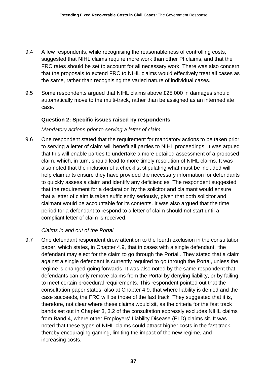- 9.4 A few respondents, while recognising the reasonableness of controlling costs, suggested that NIHL claims require more work than other PI claims, and that the FRC rates should be set to account for all necessary work. There was also concern that the proposals to extend FRC to NIHL claims would effectively treat all cases as the same, rather than recognising the varied nature of individual cases.
- 9.5 Some respondents argued that NIHL claims above £25,000 in damages should automatically move to the multi-track, rather than be assigned as an intermediate case.

# **Question 2: Specific issues raised by respondents**

#### *Mandatory actions prior to serving a letter of claim*

9.6 One respondent stated that the requirement for mandatory actions to be taken prior to serving a letter of claim will benefit all parties to NIHL proceedings. It was argued that this will enable parties to undertake a more detailed assessment of a proposed claim, which, in turn, should lead to more timely resolution of NIHL claims. It was also noted that the inclusion of a checklist stipulating what must be included will help claimants ensure they have provided the necessary information for defendants to quickly assess a claim and identify any deficiencies. The respondent suggested that the requirement for a declaration by the solicitor and claimant would ensure that a letter of claim is taken sufficiently seriously, given that both solicitor and claimant would be accountable for its contents. It was also argued that the time period for a defendant to respond to a letter of claim should not start until a compliant letter of claim is received.

#### *Claims in and out of the Portal*

9.7 One defendant respondent drew attention to the fourth exclusion in the consultation paper, which states, in Chapter 4.9, that in cases with a single defendant, 'the defendant may elect for the claim to go through the Portal'. They stated that a claim against a single defendant is currently required to go through the Portal, unless the regime is changed going forwards. It was also noted by the same respondent that defendants can only remove claims from the Portal by denying liability, or by failing to meet certain procedural requirements. This respondent pointed out that the consultation paper states, also at Chapter 4.9, that where liability is denied and the case succeeds, the FRC will be those of the fast track. They suggested that it is, therefore, not clear where these claims would sit, as the criteria for the fast track bands set out in Chapter 3, 3.2 of the consultation expressly excludes NIHL claims from Band 4, where other Employers' Liability Disease (ELD) claims sit. It was noted that these types of NIHL claims could attract higher costs in the fast track, thereby encouraging gaming, limiting the impact of the new regime, and increasing costs.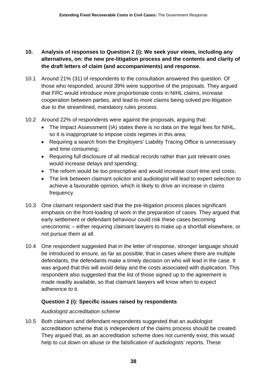# **10. Analysis of responses to Question 2 (i): We seek your views, including any alternatives, on: the new pre-litigation process and the contents and clarity of the draft letters of claim (and accompaniments) and response.**

- 10.1 Around 21% (31) of respondents to the consultation answered this question. Of those who responded, around 39% were supportive of the proposals. They argued that FRC would introduce more proportionate costs in NIHL claims, increase cooperation between parties, and lead to more claims being solved pre-litigation due to the streamlined, mandatory rules process.
- 10.2 Around 22% of respondents were against the proposals, arguing that:
	- The Impact Assessment (IA) states there is no data on the legal fees for NIHL, so it is inappropriate to impose costs regimes in this area;
	- Requiring a search from the Employers' Liability Tracing Office is unnecessary and time consuming;
	- Requiring full disclosure of all medical records rather than just relevant ones would increase delays and spending;
	- The reform would be too prescriptive and would increase court time and costs;
	- The link between claimant solicitor and audiologist will lead to expert selection to achieve a favourable opinion, which is likely to drive an increase in claims frequency.
- 10.3 One claimant respondent said that the pre-litigation process places significant emphasis on the front-loading of work in the preparation of cases. They argued that early settlement or defendant behaviour could risk these cases becoming uneconomic – either requiring claimant lawyers to make up a shortfall elsewhere, or not pursue them at all.
- 10.4 One respondent suggested that in the letter of response, stronger language should be introduced to ensure, as far as possible, that in cases where there are multiple defendants, the defendants make a timely decision on who will lead in the case. It was argued that this will avoid delay and the costs associated with duplication. This respondent also suggested that the list of those signed up to the agreement is made readily available, so that claimant lawyers will know when to expect adherence to it.

# **Question 2 (i): Specific issues raised by respondents**

#### *Audiologist accreditation scheme*

10.5 Both claimant and defendant respondents suggested that an audiologist accreditation scheme that is independent of the claims process should be created. They argued that, as an accreditation scheme does not currently exist, this would help to cut down on abuse or the falsification of audiologists' reports. These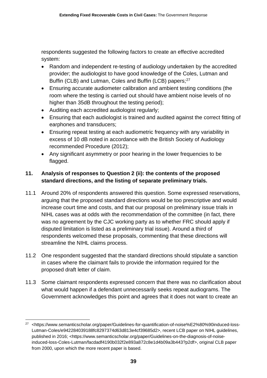respondents suggested the following factors to create an effective accredited system:

- Random and independent re-testing of audiology undertaken by the accredited provider; the audiologist to have good knowledge of the Coles, Lutman and Buffin (CLB) and Lutman, Coles and Buffin (LCB) papers;<sup>[27](#page-40-0)</sup>
- Ensuring accurate audiometer calibration and ambient testing conditions (the room where the testing is carried out should have ambient noise levels of no higher than 35dB throughout the testing period);
- Auditing each accredited audiologist regularly;
- Ensuring that each audiologist is trained and audited against the correct fitting of earphones and transducers;
- Ensuring repeat testing at each audiometric frequency with any variability in excess of 10 dB noted in accordance with the British Society of Audiology recommended Procedure (2012);
- Any significant asymmetry or poor hearing in the lower frequencies to be flagged.

# **11. Analysis of responses to Question 2 (ii): the contents of the proposed standard directions, and the listing of separate preliminary trials.**

- 11.1 Around 20% of respondents answered this question. Some expressed reservations, arguing that the proposed standard directions would be too prescriptive and would increase court time and costs, and that our proposal on preliminary issue trials in NIHL cases was at odds with the recommendation of the committee (in fact, there was no agreement by the CJC working party as to whether FRC should apply if disputed limitation is listed as a preliminary trial issue). Around a third of respondents welcomed these proposals, commenting that these directions will streamline the NIHL claims process.
- 11.2 One respondent suggested that the standard directions should stipulate a sanction in cases where the claimant fails to provide the information required for the proposed draft letter of claim.
- 11.3 Some claimant respondents expressed concern that there was no clarification about what would happen if a defendant unnecessarily seeks repeat audiograms. The Government acknowledges this point and agrees that it does not want to create an

<span id="page-40-0"></span><sup>27</sup> [<https://www.semanticscholar.org/paper/Guidelines-for-quantification-of-noise%E2%80%90induced-loss-](https://www.semanticscholar.org/paper/Guidelines-for-quantification-of-noise%E2%80%90induced-loss-Lutman-Coles/e942284039188fc8297374d63d813e4cf39685d2)[Lutman-Coles/e942284039188fc8297374d63d813e4cf39685d2>](https://www.semanticscholar.org/paper/Guidelines-for-quantification-of-noise%E2%80%90induced-loss-Lutman-Coles/e942284039188fc8297374d63d813e4cf39685d2), recent LCB paper on NIHL guidelines, published in 2016; [<https://www.semanticscholar.org/paper/Guidelines-on-the-diagnosis-of-noise](https://www.semanticscholar.org/paper/Guidelines-on-the-diagnosis-of-noise-induced-loss-Coles-Lutman/facdadf4190b032f2e893a872c8e1d4b09a3b443?p2df)[induced-loss-Coles-Lutman/facdadf4190b032f2e893a872c8e1d4b09a3b443?p2df>](https://www.semanticscholar.org/paper/Guidelines-on-the-diagnosis-of-noise-induced-loss-Coles-Lutman/facdadf4190b032f2e893a872c8e1d4b09a3b443?p2df), original CLB paper from 2000, upon which the more recent paper is based.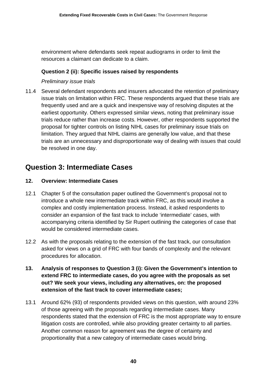environment where defendants seek repeat audiograms in order to limit the resources a claimant can dedicate to a claim.

### **Question 2 (ii): Specific issues raised by respondents**

# *Preliminary issue trials*

11.4 Several defendant respondents and insurers advocated the retention of preliminary issue trials on limitation within FRC. These respondents argued that these trials are frequently used and are a quick and inexpensive way of resolving disputes at the earliest opportunity. Others expressed similar views, noting that preliminary issue trials reduce rather than increase costs. However, other respondents supported the proposal for tighter controls on listing NIHL cases for preliminary issue trials on limitation. They argued that NIHL claims are generally low value, and that these trials are an unnecessary and disproportionate way of dealing with issues that could be resolved in one day.

# **Question 3: Intermediate Cases**

# **12. Overview: Intermediate Cases**

- 12.1 Chapter 5 of the consultation paper outlined the Government's proposal not to introduce a whole new intermediate track within FRC, as this would involve a complex and costly implementation process. Instead, it asked respondents to consider an expansion of the fast track to include 'intermediate' cases, with accompanying criteria identified by Sir Rupert outlining the categories of case that would be considered intermediate cases.
- 12.2 As with the proposals relating to the extension of the fast track, our consultation asked for views on a grid of FRC with four bands of complexity and the relevant procedures for allocation.
- **13. Analysis of responses to Question 3 (i): Given the Government's intention to extend FRC to intermediate cases, do you agree with the proposals as set out? We seek your views, including any alternatives, on: the proposed extension of the fast track to cover intermediate cases;**
- 13.1 Around 62% (93) of respondents provided views on this question, with around 23% of those agreeing with the proposals regarding intermediate cases. Many respondents stated that the extension of FRC is the most appropriate way to ensure litigation costs are controlled, while also providing greater certainty to all parties. Another common reason for agreement was the degree of certainty and proportionality that a new category of intermediate cases would bring.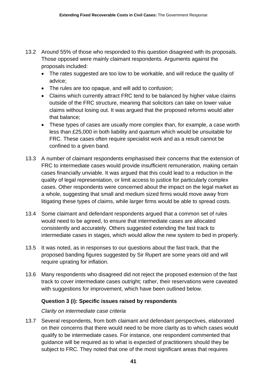- 13.2 Around 55% of those who responded to this question disagreed with its proposals. Those opposed were mainly claimant respondents. Arguments against the proposals included:
	- The rates suggested are too low to be workable, and will reduce the quality of advice;
	- The rules are too opaque, and will add to confusion;
	- Claims which currently attract FRC tend to be balanced by higher value claims outside of the FRC structure, meaning that solicitors can take on lower value claims without losing out. It was argued that the proposed reforms would alter that balance;
	- These types of cases are usually more complex than, for example, a case worth less than £25,000 in both liability and quantum which would be unsuitable for FRC. These cases often require specialist work and as a result cannot be confined to a given band.
- 13.3 A number of claimant respondents emphasised their concerns that the extension of FRC to intermediate cases would provide insufficient remuneration, making certain cases financially unviable. It was argued that this could lead to a reduction in the quality of legal representation, or limit access to justice for particularly complex cases. Other respondents were concerned about the impact on the legal market as a whole, suggesting that small and medium sized firms would move away from litigating these types of claims, while larger firms would be able to spread costs.
- 13.4 Some claimant and defendant respondents argued that a common set of rules would need to be agreed, to ensure that intermediate cases are allocated consistently and accurately. Others suggested extending the fast track to intermediate cases in stages, which would allow the new system to bed in properly.
- 13.5 It was noted, as in responses to our questions about the fast track, that the proposed banding figures suggested by Sir Rupert are some years old and will require uprating for inflation.
- 13.6 Many respondents who disagreed did not reject the proposed extension of the fast track to cover intermediate cases outright; rather, their reservations were caveated with suggestions for improvement, which have been outlined below.

# **Question 3 (i): Specific issues raised by respondents**

# *Clarity on intermediate case criteria*

13.7 Several respondents, from both claimant and defendant perspectives, elaborated on their concerns that there would need to be more clarity as to which cases would qualify to be intermediate cases. For instance, one respondent commented that guidance will be required as to what is expected of practitioners should they be subject to FRC. They noted that one of the most significant areas that requires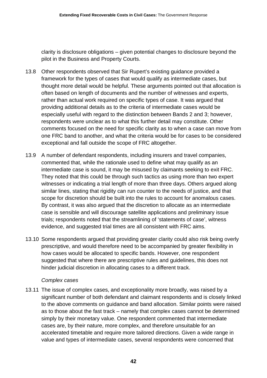clarity is disclosure obligations – given potential changes to disclosure beyond the pilot in the Business and Property Courts.

- 13.8 Other respondents observed that Sir Rupert's existing guidance provided a framework for the types of cases that would qualify as intermediate cases, but thought more detail would be helpful. These arguments pointed out that allocation is often based on length of documents and the number of witnesses and experts, rather than actual work required on specific types of case. It was argued that providing additional details as to the criteria of intermediate cases would be especially useful with regard to the distinction between Bands 2 and 3; however, respondents were unclear as to what this further detail may constitute. Other comments focused on the need for specific clarity as to when a case can move from one FRC band to another, and what the criteria would be for cases to be considered exceptional and fall outside the scope of FRC altogether.
- 13.9 A number of defendant respondents, including insurers and travel companies, commented that, while the rationale used to define what may qualify as an intermediate case is sound, it may be misused by claimants seeking to exit FRC. They noted that this could be through such tactics as using more than two expert witnesses or indicating a trial length of more than three days. Others argued along similar lines, stating that rigidity can run counter to the needs of justice, and that scope for discretion should be built into the rules to account for anomalous cases. By contrast, it was also argued that the discretion to allocate as an intermediate case is sensible and will discourage satellite applications and preliminary issue trials; respondents noted that the streamlining of 'statements of case', witness evidence, and suggested trial times are all consistent with FRC aims.
- 13.10 Some respondents argued that providing greater clarity could also risk being overly prescriptive, and would therefore need to be accompanied by greater flexibility in how cases would be allocated to specific bands. However, one respondent suggested that where there are prescriptive rules and guidelines, this does not hinder judicial discretion in allocating cases to a different track.

#### *Complex cases*

13.11 The issue of complex cases, and exceptionality more broadly, was raised by a significant number of both defendant and claimant respondents and is closely linked to the above comments on guidance and band allocation. Similar points were raised as to those about the fast track – namely that complex cases cannot be determined simply by their monetary value. One respondent commented that intermediate cases are, by their nature, more complex, and therefore unsuitable for an accelerated timetable and require more tailored directions. Given a wide range in value and types of intermediate cases, several respondents were concerned that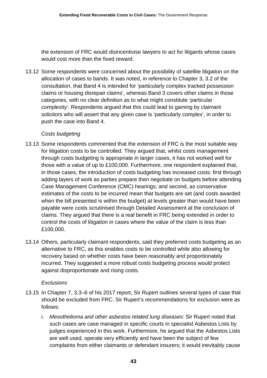the extension of FRC would disincentivise lawyers to act for litigants whose cases would cost more than the fixed reward.

13.12 Some respondents were concerned about the possibility of satellite litigation on the allocation of cases to bands. It was noted, in reference to Chapter 3, 3.2 of the consultation, that Band 4 is intended for 'particularly complex tracked possession claims or housing disrepair claims', whereas Band 3 covers other claims in those categories, with no clear definition as to what might constitute 'particular complexity'. Respondents argued that this could lead to gaming by claimant solicitors who will assert that any given case is 'particularly complex', in order to push the case into Band 4.

# *Costs budgeting*

- 13.13 Some respondents commented that the extension of FRC is the most suitable way for litigation costs to be controlled. They argued that, whilst costs management through costs budgeting is appropriate in larger cases, it has not worked well for those with a value of up to £100,000. Furthermore, one respondent explained that, in those cases, the introduction of costs budgeting has increased costs: first through adding layers of work as parties prepare then negotiate on budgets before attending Case Management Conference (CMC) hearings; and second, as conservative estimates of the costs to be incurred mean that budgets are set (and costs awarded when the bill presented is within the budget) at levels greater than would have been payable were costs scrutinised through Detailed Assessment at the conclusion of claims. They argued that there is a real benefit in FRC being extended in order to control the costs of litigation in cases where the value of the claim is less than £100,000.
- 13.14 Others, particularly claimant respondents, said they preferred costs budgeting as an alternative to FRC, as this enables costs to be controlled while also allowing for recovery based on whether costs have been reasonably and proportionately incurred. They suggested a more robust costs budgeting process would protect against disproportionate and rising costs.

# *Exclusions*

- 13.15 In Chapter 7, 3.3–6 of his 2017 report, Sir Rupert outlines several types of case that should be excluded from FRC. Sir Rupert's recommendations for exclusion were as follows:
	- i. *Mesothelioma and other asbestos related lung diseases*: Sir Rupert noted that such cases are case managed in specific courts in specialist Asbestos Lists by judges experienced in this work. Furthermore, he argued that the Asbestos Lists are well used, operate very efficiently and have been the subject of few complaints from either claimants or defendant insurers; it would inevitably cause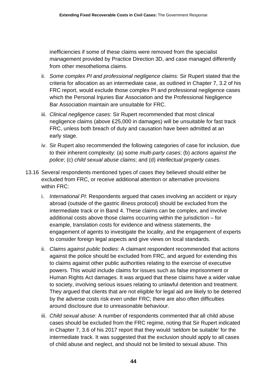inefficiencies if some of these claims were removed from the specialist management provided by Practice Direction 3D, and case managed differently from other mesothelioma claims.

- ii. *Some complex PI and professional negligence claims*: Sir Rupert stated that the criteria for allocation as an intermediate case, as outlined in Chapter 7, 3.2 of his FRC report, would exclude those complex PI and professional negligence cases which the Personal Injuries Bar Association and the Professional Negligence Bar Association maintain are unsuitable for FRC.
- iii. *Clinical negligence cases*: Sir Rupert recommended that most clinical negligence claims (above £25,000 in damages) will be unsuitable for fast track FRC, unless both breach of duty and causation have been admitted at an early stage.
- iv. Sir Rupert also recommended the following categories of case for inclusion, due to their inherent complexity: (a) some *multi-party cases*; (b) *actions against the police*; (c) *child sexual abuse claims*; and (d) *intellectual property cases*.
- 13.16 Several respondents mentioned types of cases they believed should either be excluded from FRC, or receive additional attention or alternative provisions within FRC:
	- i. *International PI*: Respondents argued that cases involving an accident or injury abroad (outside of the gastric illness protocol) should be excluded from the intermediate track or in Band 4. These claims can be complex, and involve additional costs above those claims occurring within the jurisdiction – for example, translation costs for evidence and witness statements, the engagement of agents to investigate the locality, and the engagement of experts to consider foreign legal aspects and give views on local standards.
	- ii. *Claims against public bodies*: A claimant respondent recommended that actions against the police should be excluded from FRC, and argued for extending this to claims against other public authorities relating to the exercise of executive powers. This would include claims for issues such as false imprisonment or Human Rights Act damages. It was argued that these claims have a wider value to society, involving serious issues relating to unlawful detention and treatment. They argued that clients that are not eligible for legal aid are likely to be deterred by the adverse costs risk even under FRC; there are also often difficulties around disclosure due to unreasonable behaviour.
	- iii. *Child sexual abuse*: A number of respondents commented that all child abuse cases should be excluded from the FRC regime, noting that Sir Rupert indicated in Chapter 7, 3.6 of his 2017 report that they would 'seldom be suitable' for the intermediate track. It was suggested that the exclusion should apply to all cases of child abuse and neglect, and should not be limited to sexual abuse. This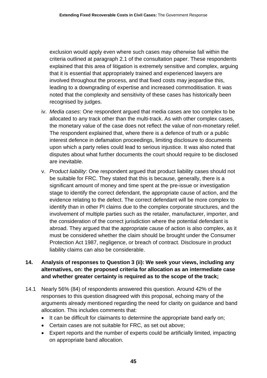exclusion would apply even where such cases may otherwise fall within the criteria outlined at paragraph 2.1 of the consultation paper. These respondents explained that this area of litigation is extremely sensitive and complex, arguing that it is essential that appropriately trained and experienced lawyers are involved throughout the process, and that fixed costs may jeopardise this, leading to a downgrading of expertise and increased commoditisation. It was noted that the complexity and sensitivity of these cases has historically been recognised by judges.

- iv. *Media cases*: One respondent argued that media cases are too complex to be allocated to any track other than the multi-track. As with other complex cases, the monetary value of the case does not reflect the value of non-monetary relief. The respondent explained that, where there is a defence of truth or a public interest defence in defamation proceedings, limiting disclosure to documents upon which a party relies could lead to serious injustice. It was also noted that disputes about what further documents the court should require to be disclosed are inevitable.
- v. *Product liability*: One respondent argued that product liability cases should not be suitable for FRC. They stated that this is because, generally, there is a significant amount of money and time spent at the pre-issue or investigation stage to identify the correct defendant, the appropriate cause of action, and the evidence relating to the defect. The correct defendant will be more complex to identify than in other PI claims due to the complex corporate structures, and the involvement of multiple parties such as the retailer, manufacturer, importer, and the consideration of the correct jurisdiction where the potential defendant is abroad. They argued that the appropriate cause of action is also complex, as it must be considered whether the claim should be brought under the Consumer Protection Act 1987, negligence, or breach of contract. Disclosure in product liability claims can also be considerable.

# **14. Analysis of responses to Question 3 (ii): We seek your views, including any alternatives, on: the proposed criteria for allocation as an intermediate case and whether greater certainty is required as to the scope of the track;**

- 14.1 Nearly 56% (84) of respondents answered this question. Around 42% of the responses to this question disagreed with this proposal, echoing many of the arguments already mentioned regarding the need for clarity on guidance and band allocation. This includes comments that:
	- It can be difficult for claimants to determine the appropriate band early on;
	- Certain cases are not suitable for FRC, as set out above;
	- Expert reports and the number of experts could be artificially limited, impacting on appropriate band allocation.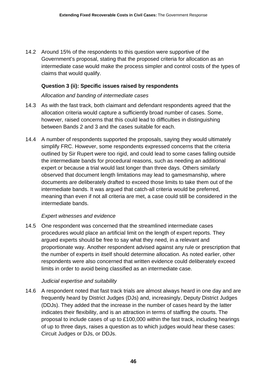14.2 Around 15% of the respondents to this question were supportive of the Government's proposal, stating that the proposed criteria for allocation as an intermediate case would make the process simpler and control costs of the types of claims that would qualify.

#### **Question 3 (ii): Specific issues raised by respondents**

#### *Allocation and banding of intermediate cases*

- 14.3 As with the fast track, both claimant and defendant respondents agreed that the allocation criteria would capture a sufficiently broad number of cases. Some, however, raised concerns that this could lead to difficulties in distinguishing between Bands 2 and 3 and the cases suitable for each.
- 14.4 A number of respondents supported the proposals, saying they would ultimately simplify FRC. However, some respondents expressed concerns that the criteria outlined by Sir Rupert were too rigid, and could lead to some cases falling outside the intermediate bands for procedural reasons, such as needing an additional expert or because a trial would last longer than three days. Others similarly observed that document length limitations may lead to gamesmanship, where documents are deliberately drafted to exceed those limits to take them out of the intermediate bands. It was argued that catch-all criteria would be preferred, meaning than even if not all criteria are met, a case could still be considered in the intermediate bands.

#### *Expert witnesses and evidence*

14.5 One respondent was concerned that the streamlined intermediate cases procedures would place an artificial limit on the length of expert reports. They argued experts should be free to say what they need, in a relevant and proportionate way. Another respondent advised against any rule or prescription that the number of experts in itself should determine allocation. As noted earlier, other respondents were also concerned that written evidence could deliberately exceed limits in order to avoid being classified as an intermediate case.

#### *Judicial expertise and suitability*

14.6 A respondent noted that fast track trials are almost always heard in one day and are frequently heard by District Judges (DJs) and, increasingly, Deputy District Judges (DDJs). They added that the increase in the number of cases heard by the latter indicates their flexibility, and is an attraction in terms of staffing the courts. The proposal to include cases of up to £100,000 within the fast track, including hearings of up to three days, raises a question as to which judges would hear these cases: Circuit Judges or DJs, or DDJs.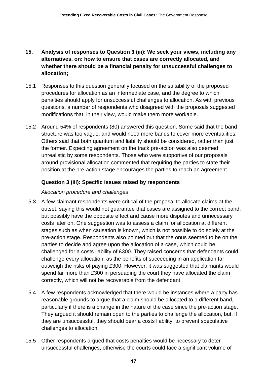- **15. Analysis of responses to Question 3 (iii): We seek your views, including any alternatives, on: how to ensure that cases are correctly allocated, and whether there should be a financial penalty for unsuccessful challenges to allocation;**
- 15.1 Responses to this question generally focused on the suitability of the proposed procedures for allocation as an intermediate case, and the degree to which penalties should apply for unsuccessful challenges to allocation. As with previous questions, a number of respondents who disagreed with the proposals suggested modifications that, in their view, would make them more workable.
- 15.2 Around 54% of respondents (80) answered this question. Some said that the band structure was too vague, and would need more bands to cover more eventualities. Others said that both quantum and liability should be considered, rather than just the former. Expecting agreement on the track pre-action was also deemed unrealistic by some respondents. Those who were supportive of our proposals around provisional allocation commented that requiring the parties to state their position at the pre-action stage encourages the parties to reach an agreement.

#### **Question 3 (iii): Specific issues raised by respondents**

#### *Allocation procedure and challenges*

- 15.3 A few claimant respondents were critical of the proposal to allocate claims at the outset, saying this would not guarantee that cases are assigned to the correct band, but possibly have the opposite effect and cause more disputes and unnecessary costs later on. One suggestion was to assess a claim for allocation at different stages such as when causation is known, which is not possible to do solely at the pre-action stage. Respondents also pointed out that the onus seemed to be on the parties to decide and agree upon the allocation of a case, which could be challenged for a costs liability of £300. They raised concerns that defendants could challenge every allocation, as the benefits of succeeding in an application far outweigh the risks of paying £300. However, it was suggested that claimants would spend far more than £300 in persuading the court they have allocated the claim correctly, which will not be recoverable from the defendant.
- 15.4 A few respondents acknowledged that there would be instances where a party has reasonable grounds to argue that a claim should be allocated to a different band, particularly if there is a change in the nature of the case since the pre-action stage. They argued it should remain open to the parties to challenge the allocation, but, if they are unsuccessful, they should bear a costs liability, to prevent speculative challenges to allocation.
- 15.5 Other respondents argued that costs penalties would be necessary to deter unsuccessful challenges, otherwise the courts could face a significant volume of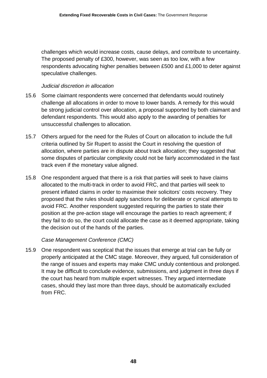challenges which would increase costs, cause delays, and contribute to uncertainty. The proposed penalty of £300, however, was seen as too low, with a few respondents advocating higher penalties between £500 and £1,000 to deter against speculative challenges.

### *Judicial discretion in allocation*

- 15.6 Some claimant respondents were concerned that defendants would routinely challenge all allocations in order to move to lower bands. A remedy for this would be strong judicial control over allocation, a proposal supported by both claimant and defendant respondents. This would also apply to the awarding of penalties for unsuccessful challenges to allocation.
- 15.7 Others argued for the need for the Rules of Court on allocation to include the full criteria outlined by Sir Rupert to assist the Court in resolving the question of allocation, where parties are in dispute about track allocation; they suggested that some disputes of particular complexity could not be fairly accommodated in the fast track even if the monetary value aligned.
- 15.8 One respondent argued that there is a risk that parties will seek to have claims allocated to the multi-track in order to avoid FRC, and that parties will seek to present inflated claims in order to maximise their solicitors' costs recovery. They proposed that the rules should apply sanctions for deliberate or cynical attempts to avoid FRC. Another respondent suggested requiring the parties to state their position at the pre-action stage will encourage the parties to reach agreement; if they fail to do so, the court could allocate the case as it deemed appropriate, taking the decision out of the hands of the parties.

#### *Case Management Conference (CMC)*

15.9 One respondent was sceptical that the issues that emerge at trial can be fully or properly anticipated at the CMC stage. Moreover, they argued, full consideration of the range of issues and experts may make CMC unduly contentious and prolonged. It may be difficult to conclude evidence, submissions, and judgment in three days if the court has heard from multiple expert witnesses. They argued intermediate cases, should they last more than three days, should be automatically excluded from FRC.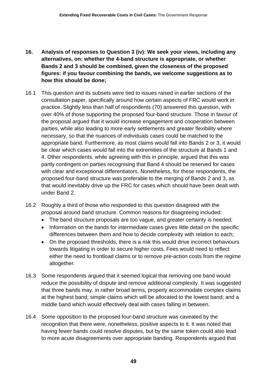- **16. Analysis of responses to Question 3 (iv): We seek your views, including any alternatives, on: whether the 4-band structure is appropriate, or whether Bands 2 and 3 should be combined, given the closeness of the proposed figures: if you favour combining the bands, we welcome suggestions as to how this should be done;**
- 16.1 This question and its subsets were tied to issues raised in earlier sections of the consultation paper, specifically around how certain aspects of FRC would work in practice. Slightly less than half of respondents (70) answered this question, with over 40% of those supporting the proposed four-band structure. Those in favour of the proposal argued that it would increase engagement and cooperation between parties, while also leading to more early settlements and greater flexibility where necessary, so that the nuances of individuals cases could be matched to the appropriate band. Furthermore, as most claims would fall into Bands 2 or 3, it would be clear which cases would fall into the extremities of the structure at Bands 1 and 4. Other respondents, while agreeing with this in principle, argued that this was partly contingent on parties recognising that Band 4 should be reserved for cases with clear and exceptional differentiators. Nonetheless, for these respondents, the proposed four-band structure was preferable to the merging of Bands 2 and 3, as that would inevitably drive up the FRC for cases which should have been dealt with under Band 2.
- 16.2 Roughly a third of those who responded to this question disagreed with the proposal around band structure. Common reasons for disagreeing included:
	- The band structure proposals are too vague, and greater certainty is needed;
	- Information on the bands for intermediate cases gives little detail on the specific differences between them and how to decide complexity with relation to each;
	- On the proposed thresholds, there is a risk this would drive incorrect behaviours towards litigating in order to secure higher costs. Fees would need to reflect either the need to frontload claims or to remove pre-action costs from the regime altogether.
- 16.3 Some respondents argued that it seemed logical that removing one band would reduce the possibility of dispute and remove additional complexity. It was suggested that three bands may, in rather broad terms, properly accommodate complex claims at the highest band; simple claims which will be allocated to the lowest band; and a middle band which would effectively deal with cases falling in between.
- 16.4 Some opposition to the proposed four-band structure was caveated by the recognition that there were, nonetheless, positive aspects to it. It was noted that having fewer bands could resolve disputes, but by the same token could also lead to more acute disagreements over appropriate banding. Respondents argued that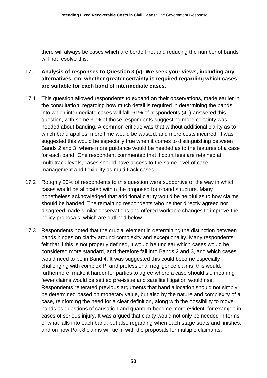there will always be cases which are borderline, and reducing the number of bands will not resolve this.

- **17. Analysis of responses to Question 3 (v): We seek your views, including any alternatives, on: whether greater certainty is required regarding which cases are suitable for each band of intermediate cases.**
- 17.1 This question allowed respondents to expand on their observations, made earlier in the consultation, regarding how much detail is required in determining the bands into which intermediate cases will fall. 61% of respondents (41) answered this question, with some 31% of those respondents suggesting more certainty was needed about banding. A common critique was that without additional clarity as to which band applies, more time would be wasted, and more costs incurred. It was suggested this would be especially true when it comes to distinguishing between Bands 2 and 3, where more guidance would be needed as to the features of a case for each band. One respondent commented that if court fees are retained at multi-track levels, cases should have access to the same level of case management and flexibility as multi-track cases.
- 17.2 Roughly 20% of respondents to this question were supportive of the way in which cases would be allocated within the proposed four-band structure. Many nonetheless acknowledged that additional clarity would be helpful as to how claims should be banded. The remaining respondents who neither directly agreed nor disagreed made similar observations and offered workable changes to improve the policy proposals, which are outlined below.
- 17.3 Respondents noted that the crucial element in determining the distinction between bands hinges on clarity around complexity and exceptionality. Many respondents felt that if this is not properly defined, it would be unclear which cases would be considered more standard, and therefore fall into Bands 2 and 3, and which cases would need to be in Band 4. It was suggested this could become especially challenging with complex PI and professional negligence claims; this would, furthermore, make it harder for parties to agree where a case should sit, meaning fewer claims would be settled pre-issue and satellite litigation would rise. Respondents reiterated previous arguments that band allocation should not simply be determined based on monetary value, but also by the nature and complexity of a case, reinforcing the need for a clear definition, along with the possibility to move bands as questions of causation and quantum become more evident, for example in cases of serious injury. It was argued that clarity would not only be needed in terms of what falls into each band, but also regarding when each stage starts and finishes, and on how Part 8 claims will tie in with the proposals for multiple claimants.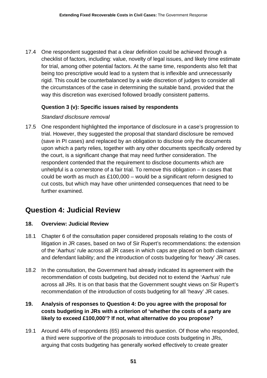17.4 One respondent suggested that a clear definition could be achieved through a checklist of factors, including: value, novelty of legal issues, and likely time estimate for trial, among other potential factors. At the same time, respondents also felt that being too prescriptive would lead to a system that is inflexible and unnecessarily rigid. This could be counterbalanced by a wide discretion of judges to consider all the circumstances of the case in determining the suitable band, provided that the way this discretion was exercised followed broadly consistent patterns.

# **Question 3 (v): Specific issues raised by respondents**

#### *Standard disclosure removal*

17.5 One respondent highlighted the importance of disclosure in a case's progression to trial. However, they suggested the proposal that standard disclosure be removed (save in PI cases) and replaced by an obligation to disclose only the documents upon which a party relies, together with any other documents specifically ordered by the court, is a significant change that may need further consideration. The respondent contended that the requirement to disclose documents which are unhelpful is a cornerstone of a fair trial. To remove this obligation – in cases that could be worth as much as £100,000 – would be a significant reform designed to cut costs, but which may have other unintended consequences that need to be further examined.

# **Question 4: Judicial Review**

#### **18. Overview: Judicial Review**

- 18.1 Chapter 6 of the consultation paper considered proposals relating to the costs of litigation in JR cases, based on two of Sir Rupert's recommendations: the extension of the 'Aarhus' rule across all JR cases in which caps are placed on both claimant and defendant liability; and the introduction of costs budgeting for 'heavy' JR cases.
- 18.2 In the consultation, the Government had already indicated its agreement with the recommendation of costs budgeting, but decided not to extend the 'Aarhus' rule across all JRs. It is on that basis that the Government sought views on Sir Rupert's recommendation of the introduction of costs budgeting for all 'heavy' JR cases.

# **19. Analysis of responses to Question 4: Do you agree with the proposal for costs budgeting in JRs with a criterion of 'whether the costs of a party are likely to exceed £100,000'? If not, what alternative do you propose?**

19.1 Around 44% of respondents (65) answered this question. Of those who responded, a third were supportive of the proposals to introduce costs budgeting in JRs, arguing that costs budgeting has generally worked effectively to create greater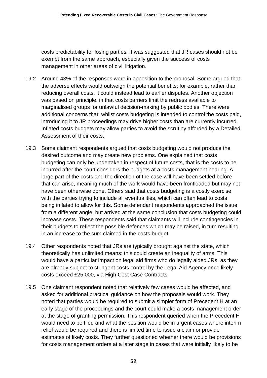costs predictability for losing parties. It was suggested that JR cases should not be exempt from the same approach, especially given the success of costs management in other areas of civil litigation.

- 19.2 Around 43% of the responses were in opposition to the proposal. Some argued that the adverse effects would outweigh the potential benefits; for example, rather than reducing overall costs, it could instead lead to earlier disputes. Another objection was based on principle, in that costs barriers limit the redress available to marginalised groups for unlawful decision-making by public bodies. There were additional concerns that, whilst costs budgeting is intended to control the costs paid, introducing it to JR proceedings may drive higher costs than are currently incurred. Inflated costs budgets may allow parties to avoid the scrutiny afforded by a Detailed Assessment of their costs.
- 19.3 Some claimant respondents argued that costs budgeting would not produce the desired outcome and may create new problems. One explained that costs budgeting can only be undertaken in respect of future costs, that is the costs to be incurred after the court considers the budgets at a costs management hearing. A large part of the costs and the direction of the case will have been settled before that can arise, meaning much of the work would have been frontloaded but may not have been otherwise done. Others said that costs budgeting is a costly exercise with the parties trying to include all eventualities, which can often lead to costs being inflated to allow for this. Some defendant respondents approached the issue from a different angle, but arrived at the same conclusion that costs budgeting could increase costs. These respondents said that claimants will include contingencies in their budgets to reflect the possible defences which may be raised, in turn resulting in an increase to the sum claimed in the costs budget.
- 19.4 Other respondents noted that JRs are typically brought against the state, which theoretically has unlimited means: this could create an inequality of arms. This would have a particular impact on legal aid firms who do legally aided JRs, as they are already subject to stringent costs control by the Legal Aid Agency once likely costs exceed £25,000, via High Cost Case Contracts.
- 19.5 One claimant respondent noted that relatively few cases would be affected, and asked for additional practical guidance on how the proposals would work. They noted that parties would be required to submit a simpler form of Precedent H at an early stage of the proceedings and the court could make a costs management order at the stage of granting permission. This respondent queried when the Precedent H would need to be filed and what the position would be in urgent cases where interim relief would be required and there is limited time to issue a claim or provide estimates of likely costs. They further questioned whether there would be provisions for costs management orders at a later stage in cases that were initially likely to be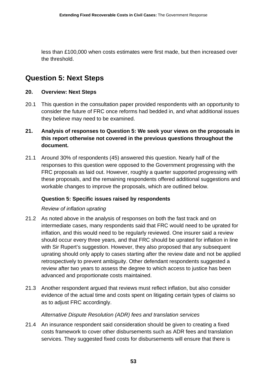less than £100,000 when costs estimates were first made, but then increased over the threshold.

# **Question 5: Next Steps**

#### **20. Overview: Next Steps**

20.1 This question in the consultation paper provided respondents with an opportunity to consider the future of FRC once reforms had bedded in, and what additional issues they believe may need to be examined.

# **21. Analysis of responses to Question 5: We seek your views on the proposals in this report otherwise not covered in the previous questions throughout the document.**

21.1 Around 30% of respondents (45) answered this question. Nearly half of the responses to this question were opposed to the Government progressing with the FRC proposals as laid out. However, roughly a quarter supported progressing with these proposals, and the remaining respondents offered additional suggestions and workable changes to improve the proposals, which are outlined below.

# **Question 5: Specific issues raised by respondents**

#### *Review of inflation uprating*

- 21.2 As noted above in the analysis of responses on both the fast track and on intermediate cases, many respondents said that FRC would need to be uprated for inflation, and this would need to be regularly reviewed. One insurer said a review should occur every three years, and that FRC should be uprated for inflation in line with Sir Rupert's suggestion. However, they also proposed that any subsequent uprating should only apply to cases starting after the review date and not be applied retrospectively to prevent ambiguity. Other defendant respondents suggested a review after two years to assess the degree to which access to justice has been advanced and proportionate costs maintained.
- 21.3 Another respondent argued that reviews must reflect inflation, but also consider evidence of the actual time and costs spent on litigating certain types of claims so as to adjust FRC accordingly.

#### *Alternative Dispute Resolution (ADR) fees and translation services*

21.4 An insurance respondent said consideration should be given to creating a fixed costs framework to cover other disbursements such as ADR fees and translation services. They suggested fixed costs for disbursements will ensure that there is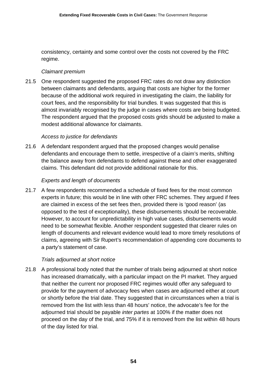consistency, certainty and some control over the costs not covered by the FRC regime.

# *Claimant premium*

21.5 One respondent suggested the proposed FRC rates do not draw any distinction between claimants and defendants, arguing that costs are higher for the former because of the additional work required in investigating the claim, the liability for court fees, and the responsibility for trial bundles. It was suggested that this is almost invariably recognised by the judge in cases where costs are being budgeted. The respondent argued that the proposed costs grids should be adjusted to make a modest additional allowance for claimants.

# *Access to justice for defendants*

21.6 A defendant respondent argued that the proposed changes would penalise defendants and encourage them to settle, irrespective of a claim's merits, shifting the balance away from defendants to defend against these and other exaggerated claims. This defendant did not provide additional rationale for this.

# *Experts and length of documents*

21.7 A few respondents recommended a schedule of fixed fees for the most common experts in future; this would be in line with other FRC schemes. They argued if fees are claimed in excess of the set fees then, provided there is 'good reason' (as opposed to the test of exceptionality), these disbursements should be recoverable. However, to account for unpredictability in high value cases, disbursements would need to be somewhat flexible. Another respondent suggested that clearer rules on length of documents and relevant evidence would lead to more timely resolutions of claims, agreeing with Sir Rupert's recommendation of appending core documents to a party's statement of case.

#### *Trials adjourned at short notice*

21.8 A professional body noted that the number of trials being adjourned at short notice has increased dramatically, with a particular impact on the PI market. They argued that neither the current nor proposed FRC regimes would offer any safeguard to provide for the payment of advocacy fees when cases are adjourned either at court or shortly before the trial date. They suggested that in circumstances when a trial is removed from the list with less than 48 hours' notice, the advocate's fee for the adjourned trial should be payable *inter partes* at 100% if the matter does not proceed on the day of the trial, and 75% if it is removed from the list within 48 hours of the day listed for trial.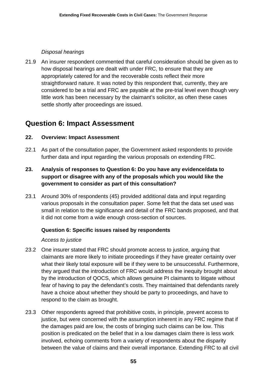# *Disposal hearings*

21.9 An insurer respondent commented that careful consideration should be given as to how disposal hearings are dealt with under FRC, to ensure that they are appropriately catered for and the recoverable costs reflect their more straightforward nature. It was noted by this respondent that, currently, they are considered to be a trial and FRC are payable at the pre-trial level even though very little work has been necessary by the claimant's solicitor, as often these cases settle shortly after proceedings are issued.

# **Question 6: Impact Assessment**

# **22. Overview: Impact Assessment**

22.1 As part of the consultation paper, the Government asked respondents to provide further data and input regarding the various proposals on extending FRC.

# **23. Analysis of responses to Question 6: Do you have any evidence/data to support or disagree with any of the proposals which you would like the government to consider as part of this consultation?**

23.1 Around 30% of respondents (45) provided additional data and input regarding various proposals in the consultation paper. Some felt that the data set used was small in relation to the significance and detail of the FRC bands proposed, and that it did not come from a wide enough cross-section of sources.

#### **Question 6: Specific issues raised by respondents**

#### *Access to justice*

- 23.2 One insurer stated that FRC should promote access to justice, arguing that claimants are more likely to initiate proceedings if they have greater certainty over what their likely total exposure will be if they were to be unsuccessful. Furthermore, they argued that the introduction of FRC would address the inequity brought about by the introduction of QOCS, which allows genuine PI claimants to litigate without fear of having to pay the defendant's costs. They maintained that defendants rarely have a choice about whether they should be party to proceedings, and have to respond to the claim as brought.
- 23.3 Other respondents agreed that prohibitive costs, in principle, prevent access to justice, but were concerned with the assumption inherent in any FRC regime that if the damages paid are low, the costs of bringing such claims can be low. This position is predicated on the belief that in a low damages claim there is less work involved, echoing comments from a variety of respondents about the disparity between the value of claims and their overall importance. Extending FRC to all civil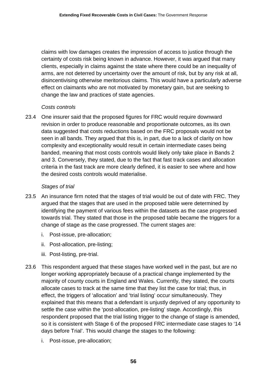claims with low damages creates the impression of access to justice through the certainty of costs risk being known in advance. However, it was argued that many clients, especially in claims against the state where there could be an inequality of arms, are not deterred by uncertainty over the amount of risk, but by any risk at all, disincentivising otherwise meritorious claims. This would have a particularly adverse effect on claimants who are not motivated by monetary gain, but are seeking to change the law and practices of state agencies.

#### *Costs controls*

23.4 One insurer said that the proposed figures for FRC would require downward revision in order to produce reasonable and proportionate outcomes, as its own data suggested that costs reductions based on the FRC proposals would not be seen in all bands. They argued that this is, in part, due to a lack of clarity on how complexity and exceptionality would result in certain intermediate cases being banded, meaning that most costs controls would likely only take place in Bands 2 and 3. Conversely, they stated, due to the fact that fast track cases and allocation criteria in the fast track are more clearly defined, it is easier to see where and how the desired costs controls would materialise.

#### *Stages of trial*

- 23.5 An insurance firm noted that the stages of trial would be out of date with FRC. They argued that the stages that are used in the proposed table were determined by identifying the payment of various fees within the datasets as the case progressed towards trial. They stated that those in the proposed table became the triggers for a change of stage as the case progressed. The current stages are:
	- i. Post-issue, pre-allocation;
	- ii. Post-allocation, pre-listing;
	- iii. Post-listing, pre-trial.
- 23.6 This respondent argued that these stages have worked well in the past, but are no longer working appropriately because of a practical change implemented by the majority of county courts in England and Wales. Currently, they stated, the courts allocate cases to track at the same time that they list the case for trial; thus, in effect, the triggers of 'allocation' and 'trial listing' occur simultaneously. They explained that this means that a defendant is unjustly deprived of any opportunity to settle the case within the 'post-allocation, pre-listing' stage. Accordingly, this respondent proposed that the trial listing trigger to the change of stage is amended, so it is consistent with Stage 6 of the proposed FRC intermediate case stages to '14 days before Trial'. This would change the stages to the following:
	- i. Post-issue, pre-allocation;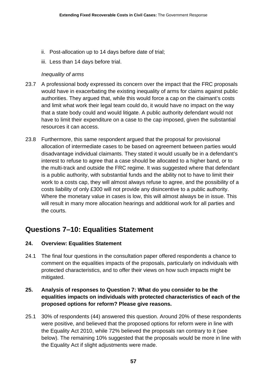- ii. Post-allocation up to 14 days before date of trial;
- iii. Less than 14 days before trial.

#### *Inequality of arms*

- 23.7 A professional body expressed its concern over the impact that the FRC proposals would have in exacerbating the existing inequality of arms for claims against public authorities. They argued that, while this would force a cap on the claimant's costs and limit what work their legal team could do, it would have no impact on the way that a state body could and would litigate. A public authority defendant would not have to limit their expenditure on a case to the cap imposed, given the substantial resources it can access.
- 23.8 Furthermore, this same respondent argued that the proposal for provisional allocation of intermediate cases to be based on agreement between parties would disadvantage individual claimants. They stated it would usually be in a defendant's interest to refuse to agree that a case should be allocated to a higher band, or to the multi-track and outside the FRC regime. It was suggested where that defendant is a public authority, with substantial funds and the ability not to have to limit their work to a costs cap, they will almost always refuse to agree, and the possibility of a costs liability of only £300 will not provide any disincentive to a public authority. Where the monetary value in cases is low, this will almost always be in issue. This will result in many more allocation hearings and additional work for all parties and the courts.

# **Questions 7–10: Equalities Statement**

# **24. Overview: Equalities Statement**

24.1 The final four questions in the consultation paper offered respondents a chance to comment on the equalities impacts of the proposals, particularly on individuals with protected characteristics, and to offer their views on how such impacts might be mitigated.

# **25. Analysis of responses to Question 7: What do you consider to be the equalities impacts on individuals with protected characteristics of each of the proposed options for reform? Please give reasons.**

25.1 30% of respondents (44) answered this question. Around 20% of these respondents were positive, and believed that the proposed options for reform were in line with the Equality Act 2010, while 72% believed the proposals ran contrary to it (see below). The remaining 10% suggested that the proposals would be more in line with the Equality Act if slight adjustments were made.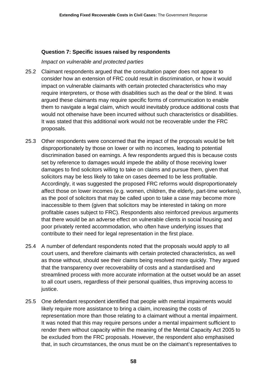#### **Question 7: Specific issues raised by respondents**

#### *Impact on vulnerable and protected parties*

- 25.2 Claimant respondents argued that the consultation paper does not appear to consider how an extension of FRC could result in discrimination, or how it would impact on vulnerable claimants with certain protected characteristics who may require interpreters, or those with disabilities such as the deaf or the blind. It was argued these claimants may require specific forms of communication to enable them to navigate a legal claim, which would inevitably produce additional costs that would not otherwise have been incurred without such characteristics or disabilities. It was stated that this additional work would not be recoverable under the FRC proposals.
- 25.3 Other respondents were concerned that the impact of the proposals would be felt disproportionately by those on lower or with no incomes, leading to potential discrimination based on earnings. A few respondents argued this is because costs set by reference to damages would impede the ability of those receiving lower damages to find solicitors willing to take on claims and pursue them, given that solicitors may be less likely to take on cases deemed to be less profitable. Accordingly, it was suggested the proposed FRC reforms would disproportionately affect those on lower incomes (e.g. women, children, the elderly, part-time workers), as the pool of solicitors that may be called upon to take a case may become more inaccessible to them (given that solicitors may be interested in taking on more profitable cases subject to FRC). Respondents also reinforced previous arguments that there would be an adverse effect on vulnerable clients in social housing and poor privately rented accommodation, who often have underlying issues that contribute to their need for legal representation in the first place.
- 25.4 A number of defendant respondents noted that the proposals would apply to all court users, and therefore claimants with certain protected characteristics, as well as those without, should see their claims being resolved more quickly. They argued that the transparency over recoverability of costs and a standardised and streamlined process with more accurate information at the outset would be an asset to all court users, regardless of their personal qualities, thus improving access to justice.
- 25.5 One defendant respondent identified that people with mental impairments would likely require more assistance to bring a claim, increasing the costs of representation more than those relating to a claimant without a mental impairment. It was noted that this may require persons under a mental impairment sufficient to render them without capacity within the meaning of the Mental Capacity Act 2005 to be excluded from the FRC proposals. However, the respondent also emphasised that, in such circumstances, the onus must be on the claimant's representatives to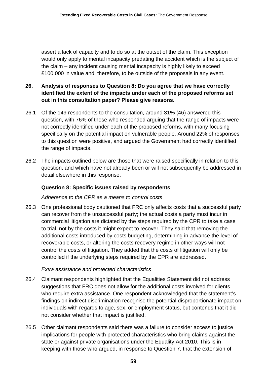assert a lack of capacity and to do so at the outset of the claim. This exception would only apply to mental incapacity predating the accident which is the subject of the claim – any incident causing mental incapacity is highly likely to exceed £100,000 in value and, therefore, to be outside of the proposals in any event.

# **26. Analysis of responses to Question 8: Do you agree that we have correctly identified the extent of the impacts under each of the proposed reforms set out in this consultation paper? Please give reasons.**

- 26.1 Of the 149 respondents to the consultation, around 31% (46) answered this question, with 76% of those who responded arguing that the range of impacts were not correctly identified under each of the proposed reforms, with many focusing specifically on the potential impact on vulnerable people. Around 22% of responses to this question were positive, and argued the Government had correctly identified the range of impacts.
- 26.2 The impacts outlined below are those that were raised specifically in relation to this question, and which have not already been or will not subsequently be addressed in detail elsewhere in this response.

# **Question 8: Specific issues raised by respondents**

#### *Adherence to the CPR as a means to control costs*

26.3 One professional body cautioned that FRC only affects costs that a successful party can recover from the unsuccessful party; the actual costs a party must incur in commercial litigation are dictated by the steps required by the CPR to take a case to trial, not by the costs it might expect to recover. They said that removing the additional costs introduced by costs budgeting, determining in advance the level of recoverable costs, or altering the costs recovery regime in other ways will not control the costs of litigation. They added that the costs of litigation will only be controlled if the underlying steps required by the CPR are addressed.

#### *Extra assistance and protected characteristics*

- 26.4 Claimant respondents highlighted that the Equalities Statement did not address suggestions that FRC does not allow for the additional costs involved for clients who require extra assistance. One respondent acknowledged that the statement's findings on indirect discrimination recognise the potential disproportionate impact on individuals with regards to age, sex, or employment status, but contends that it did not consider whether that impact is justified.
- 26.5 Other claimant respondents said there was a failure to consider access to justice implications for people with protected characteristics who bring claims against the state or against private organisations under the Equality Act 2010. This is in keeping with those who argued, in response to Question 7, that the extension of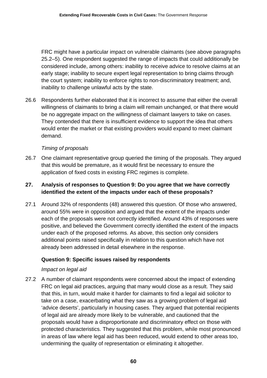FRC might have a particular impact on vulnerable claimants (see above paragraphs 25.2–5). One respondent suggested the range of impacts that could additionally be considered include, among others: inability to receive advice to resolve claims at an early stage; inability to secure expert legal representation to bring claims through the court system; inability to enforce rights to non-discriminatory treatment; and, inability to challenge unlawful acts by the state.

26.6 Respondents further elaborated that it is incorrect to assume that either the overall willingness of claimants to bring a claim will remain unchanged, or that there would be no aggregate impact on the willingness of claimant lawyers to take on cases. They contended that there is insufficient evidence to support the idea that others would enter the market or that existing providers would expand to meet claimant demand.

# *Timing of proposals*

26.7 One claimant representative group queried the timing of the proposals. They argued that this would be premature, as it would first be necessary to ensure the application of fixed costs in existing FRC regimes is complete.

# **27. Analysis of responses to Question 9: Do you agree that we have correctly identified the extent of the impacts under each of these proposals?**

27.1 Around 32% of respondents (48) answered this question. Of those who answered, around 55% were in opposition and argued that the extent of the impacts under each of the proposals were not correctly identified. Around 43% of responses were positive, and believed the Government correctly identified the extent of the impacts under each of the proposed reforms. As above, this section only considers additional points raised specifically in relation to this question which have not already been addressed in detail elsewhere in the response.

#### **Question 9: Specific issues raised by respondents**

#### *Impact on legal aid*

27.2 A number of claimant respondents were concerned about the impact of extending FRC on legal aid practices, arguing that many would close as a result. They said that this, in turn, would make it harder for claimants to find a legal aid solicitor to take on a case, exacerbating what they saw as a growing problem of legal aid 'advice deserts', particularly in housing cases. They argued that potential recipients of legal aid are already more likely to be vulnerable, and cautioned that the proposals would have a disproportionate and discriminatory effect on those with protected characteristics. They suggested that this problem, while most pronounced in areas of law where legal aid has been reduced, would extend to other areas too, undermining the quality of representation or eliminating it altogether.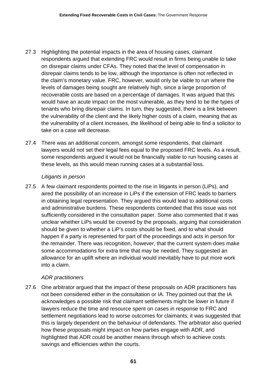- 27.3 Highlighting the potential impacts in the area of housing cases, claimant respondents argued that extending FRC would result in firms being unable to take on disrepair claims under CFAs. They noted that the level of compensation in disrepair claims tends to be low, although the importance is often not reflected in the claim's monetary value. FRC, however, would only be viable to run where the levels of damages being sought are relatively high, since a large proportion of recoverable costs are based on a percentage of damages. It was argued that this would have an acute impact on the most vulnerable, as they tend to be the types of tenants who bring disrepair claims. In turn, they suggested, there is a link between the vulnerability of the client and the likely higher costs of a claim, meaning that as the vulnerability of a client increases, the likelihood of being able to find a solicitor to take on a case will decrease.
- 27.4 There was an additional concern, amongst some respondents, that claimant lawyers would not set their legal fees equal to the proposed FRC levels. As a result, some respondents argued it would not be financially viable to run housing cases at these levels, as this would mean running cases at a substantial loss.

#### *Litigants in person*

27.5 A few claimant respondents pointed to the rise in litigants in person (LiPs), and aired the possibility of an increase in LiPs if the extension of FRC leads to barriers in obtaining legal representation. They argued this would lead to additional costs and administrative burdens. These respondents contended that this issue was not sufficiently considered in the consultation paper. Some also commented that it was unclear whether LiPs would be covered by the proposals, arguing that consideration should be given to whether a LiP's costs should be fixed, and to what should happen if a party is represented for part of the proceedings and acts in person for the remainder. There was recognition, however, that the current system does make some accommodations for extra time that may be needed. They suggested an allowance for an uplift where an individual would inevitably have to put more work into a claim.

# *ADR practitioners*

27.6 One arbitrator argued that the impact of these proposals on ADR practitioners has not been considered either in the consultation or IA. They pointed out that the IA acknowledges a possible risk that claimant settlements might be lower in future if lawyers reduce the time and resource spent on cases in response to FRC and settlement negotiations lead to worse outcomes for claimants; it was suggested that this is largely dependent on the behaviour of defendants. The arbitrator also queried how these proposals might impact on how parties engage with ADR, and highlighted that ADR could be another means through which to achieve costs savings and efficiencies within the courts.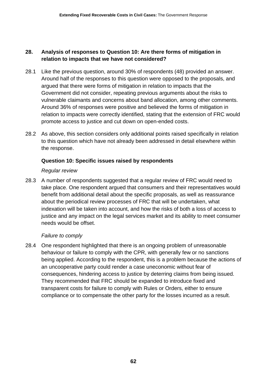# **28. Analysis of responses to Question 10: Are there forms of mitigation in relation to impacts that we have not considered?**

- 28.1 Like the previous question, around 30% of respondents (48) provided an answer. Around half of the responses to this question were opposed to the proposals, and argued that there were forms of mitigation in relation to impacts that the Government did not consider, repeating previous arguments about the risks to vulnerable claimants and concerns about band allocation, among other comments. Around 36% of responses were positive and believed the forms of mitigation in relation to impacts were correctly identified, stating that the extension of FRC would promote access to justice and cut down on open-ended costs.
- 28.2 As above, this section considers only additional points raised specifically in relation to this question which have not already been addressed in detail elsewhere within the response.

# **Question 10: Specific issues raised by respondents**

#### *Regular review*

28.3 A number of respondents suggested that a regular review of FRC would need to take place. One respondent argued that consumers and their representatives would benefit from additional detail about the specific proposals, as well as reassurance about the periodical review processes of FRC that will be undertaken, what indexation will be taken into account, and how the risks of both a loss of access to justice and any impact on the legal services market and its ability to meet consumer needs would be offset.

#### *Failure to comply*

28.4 One respondent highlighted that there is an ongoing problem of unreasonable behaviour or failure to comply with the CPR, with generally few or no sanctions being applied. According to the respondent, this is a problem because the actions of an uncooperative party could render a case uneconomic without fear of consequences, hindering access to justice by deterring claims from being issued. They recommended that FRC should be expanded to introduce fixed and transparent costs for failure to comply with Rules or Orders, either to ensure compliance or to compensate the other party for the losses incurred as a result.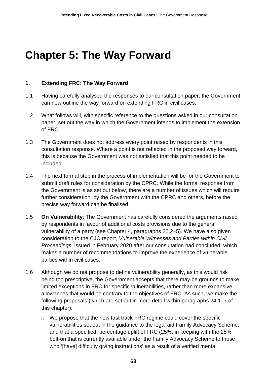# **Chapter 5: The Way Forward**

#### **1. Extending FRC: The Way Forward**

- 1.1 Having carefully analysed the responses to our consultation paper, the Government can now outline the way forward on extending FRC in civil cases.
- 1.2 What follows will, with specific reference to the questions asked in our consultation paper, set out the way in which the Government intends to implement the extension of FRC.
- 1.3 The Government does not address every point raised by respondents in this consultation response. Where a point is not reflected in the proposed way forward, this is because the Government was not satisfied that this point needed to be included.
- 1.4 The next formal step in the process of implementation will be for the Government to submit draft rules for consideration by the CPRC. While the formal response from the Government is as set out below, there are a number of issues which will require further consideration, by the Government with the CPRC and others, before the precise way forward can be finalised.
- 1.5 **On Vulnerability**: The Government has carefully considered the arguments raised by respondents in favour of additional costs provisions due to the general vulnerability of a party (see Chapter 4, paragraphs 25.2–5). We have also given consideration to the CJC report, *Vulnerable Witnesses and Parties within Civil Proceedings*, issued in February 2020 after our consultation had concluded, which makes a number of recommendations to improve the experience of vulnerable parties within civil cases.
- 1.6 Although we do not propose to define vulnerability generally, as this would risk being too prescriptive, the Government accepts that there may be grounds to make limited exceptions in FRC for specific vulnerabilities, rather than more expansive allowances that would be contrary to the objectives of FRC. As such, we make the following proposals (which are set out in more detail within paragraphs 24.1–7 of this chapter):
	- i. We propose that the new fast track FRC regime could cover the specific vulnerabilities set out in the guidance to the legal aid Family Advocacy Scheme, and that a specified, percentage uplift of FRC (25%, in keeping with the 25% bolt-on that is currently available under the Family Advocacy Scheme to those who '[have] difficulty giving instructions' as a result of a verified mental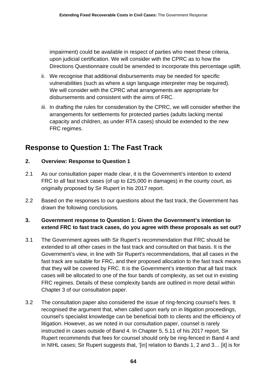impairment) could be available in respect of parties who meet these criteria, upon judicial certification. We will consider with the CPRC as to how the Directions Questionnaire could be amended to incorporate this percentage uplift.

- ii. We recognise that additional disbursements may be needed for specific vulnerabilities (such as where a sign language interpreter may be required). We will consider with the CPRC what arrangements are appropriate for disbursements and consistent with the aims of FRC.
- iii. In drafting the rules for consideration by the CPRC, we will consider whether the arrangements for settlements for protected parties (adults lacking mental capacity and children, as under RTA cases) should be extended to the new FRC regimes.

# **Response to Question 1: The Fast Track**

# **2. Overview: Response to Question 1**

- 2.1 As our consultation paper made clear, it is the Government's intention to extend FRC to all fast track cases (of up to £25,000 in damages) in the county court, as originally proposed by Sir Rupert in his 2017 report.
- 2.2 Based on the responses to our questions about the fast track, the Government has drawn the following conclusions.

# **3. Government response to Question 1: Given the Government's intention to extend FRC to fast track cases, do you agree with these proposals as set out?**

- 3.1 The Government agrees with Sir Rupert's recommendation that FRC should be extended to all other cases in the fast track and consulted on that basis. It is the Government's view, in line with Sir Rupert's recommendations, that all cases in the fast track are suitable for FRC, and their proposed allocation to the fast track means that they will be covered by FRC. It is the Government's intention that all fast track cases will be allocated to one of the four bands of complexity, as set out in existing FRC regimes. Details of these complexity bands are outlined in more detail within Chapter 3 of our consultation paper.
- 3.2 The consultation paper also considered the issue of ring-fencing counsel's fees. It recognised the argument that, when called upon early on in litigation proceedings, counsel's specialist knowledge can be beneficial both to clients and the efficiency of litigation. However, as we noted in our consultation paper, counsel is rarely instructed in cases outside of Band 4. In Chapter 5, 5.11 of his 2017 report, Sir Rupert recommends that fees for counsel should only be ring-fenced in Band 4 and in NIHL cases; Sir Rupert suggests that, '[in] relation to Bands 1, 2 and 3… [it] is for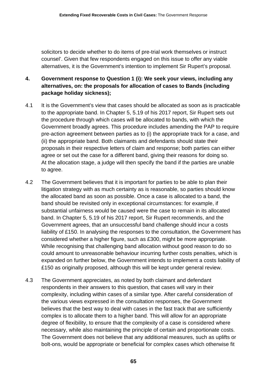solicitors to decide whether to do items of pre-trial work themselves or instruct counsel'. Given that few respondents engaged on this issue to offer any viable alternatives, it is the Government's intention to implement Sir Rupert's proposal.

- **4. Government response to Question 1 (i): We seek your views, including any alternatives, on: the proposals for allocation of cases to Bands (including package holiday sickness);**
- 4.1 It is the Government's view that cases should be allocated as soon as is practicable to the appropriate band. In Chapter 5, 5.19 of his 2017 report, Sir Rupert sets out the procedure through which cases will be allocated to bands, with which the Government broadly agrees. This procedure includes amending the PAP to require pre-action agreement between parties as to (i) the appropriate track for a case, and (ii) the appropriate band. Both claimants and defendants should state their proposals in their respective letters of claim and response; both parties can either agree or set out the case for a different band, giving their reasons for doing so. At the allocation stage, a judge will then specify the band if the parties are unable to agree.
- 4.2 The Government believes that it is important for parties to be able to plan their litigation strategy with as much certainty as is reasonable, so parties should know the allocated band as soon as possible. Once a case is allocated to a band, the band should be revisited only in exceptional circumstances: for example, if substantial unfairness would be caused were the case to remain in its allocated band. In Chapter 5, 5.19 of his 2017 report, Sir Rupert recommends, and the Government agrees, that an unsuccessful band challenge should incur a costs liability of £150. In analysing the responses to the consultation, the Government has considered whether a higher figure, such as £300, might be more appropriate. While recognising that challenging band allocation without good reason to do so could amount to unreasonable behaviour incurring further costs penalties, which is expanded on further below, the Government intends to implement a costs liability of £150 as originally proposed, although this will be kept under general review.
- 4.3 The Government appreciates, as noted by both claimant and defendant respondents in their answers to this question, that cases will vary in their complexity, including within cases of a similar type. After careful consideration of the various views expressed in the consultation responses, the Government believes that the best way to deal with cases in the fast track that are sufficiently complex is to allocate them to a higher band. This will allow for an appropriate degree of flexibility, to ensure that the complexity of a case is considered where necessary, while also maintaining the principle of certain and proportionate costs. The Government does not believe that any additional measures, such as uplifts or bolt-ons, would be appropriate or beneficial for complex cases which otherwise fit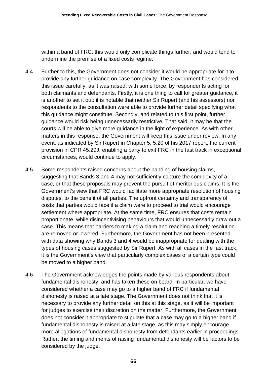within a band of FRC: this would only complicate things further, and would tend to undermine the premise of a fixed costs regime.

- 4.4 Further to this, the Government does not consider it would be appropriate for it to provide any further guidance on case complexity. The Government has considered this issue carefully, as it was raised, with some force, by respondents acting for both claimants and defendants. Firstly, it is one thing to call for greater guidance, it is another to set it out: it is notable that neither Sir Rupert (and his assessors) nor respondents to the consultation were able to provide further detail specifying what this guidance might constitute. Secondly, and related to this first point, further guidance would risk being unnecessarily restrictive. That said, it may be that the courts will be able to give more guidance in the light of experience. As with other matters in this response, the Government will keep this issue under review. In any event, as indicated by Sir Rupert in Chapter 5, 5.20 of his 2017 report, the current provision in CPR 45.29J, enabling a party to exit FRC in the fast track in exceptional circumstances, would continue to apply.
- 4.5 Some respondents raised concerns about the banding of housing claims, suggesting that Bands 3 and 4 may not sufficiently capture the complexity of a case, or that these proposals may prevent the pursuit of meritorious claims. It is the Government's view that FRC would facilitate more appropriate resolution of housing disputes, to the benefit of all parties. The upfront certainty and transparency of costs that parties would face if a claim were to proceed to trial would encourage settlement where appropriate. At the same time, FRC ensures that costs remain proportionate, while disincentivising behaviours that would unnecessarily draw out a case. This means that barriers to making a claim and reaching a timely resolution are removed or lowered. Furthermore, the Government has not been presented with data showing why Bands 3 and 4 would be inappropriate for dealing with the types of housing cases suggested by Sir Rupert. As with all cases in the fast track, it is the Government's view that particularly complex cases of a certain type could be moved to a higher band.
- 4.6 The Government acknowledges the points made by various respondents about fundamental dishonesty, and has taken these on board. In particular, we have considered whether a case may go to a higher band of FRC if fundamental dishonesty is raised at a late stage. The Government does not think that it is necessary to provide any further detail on this at this stage, as it will be important for judges to exercise their discretion on the matter. Furthermore, the Government does not consider it appropriate to stipulate that a case may go to a higher band if fundamental dishonesty is raised at a late stage, as this may simply encourage more allegations of fundamental dishonesty from defendants earlier in proceedings. Rather, the timing and merits of raising fundamental dishonesty will be factors to be considered by the judge.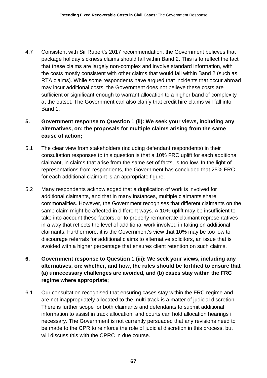4.7 Consistent with Sir Rupert's 2017 recommendation, the Government believes that package holiday sickness claims should fall within Band 2. This is to reflect the fact that these claims are largely non-complex and involve standard information, with the costs mostly consistent with other claims that would fall within Band 2 (such as RTA claims). While some respondents have argued that incidents that occur abroad may incur additional costs, the Government does not believe these costs are sufficient or significant enough to warrant allocation to a higher band of complexity at the outset. The Government can also clarify that credit hire claims will fall into Band 1.

# **5. Government response to Question 1 (ii): We seek your views, including any alternatives, on: the proposals for multiple claims arising from the same cause of action;**

- 5.1 The clear view from stakeholders (including defendant respondents) in their consultation responses to this question is that a 10% FRC uplift for each additional claimant, in claims that arise from the same set of facts, is too low. In the light of representations from respondents, the Government has concluded that 25% FRC for each additional claimant is an appropriate figure.
- 5.2 Many respondents acknowledged that a duplication of work is involved for additional claimants, and that in many instances, multiple claimants share commonalities. However, the Government recognises that different claimants on the same claim might be affected in different ways. A 10% uplift may be insufficient to take into account these factors, or to properly remunerate claimant representatives in a way that reflects the level of additional work involved in taking on additional claimants. Furthermore, it is the Government's view that 10% may be too low to discourage referrals for additional claims to alternative solicitors, an issue that is avoided with a higher percentage that ensures client retention on such claims.
- **6. Government response to Question 1 (iii): We seek your views, including any alternatives, on: whether, and how, the rules should be fortified to ensure that (a) unnecessary challenges are avoided, and (b) cases stay within the FRC regime where appropriate;**
- 6.1 Our consultation recognised that ensuring cases stay within the FRC regime and are not inappropriately allocated to the multi-track is a matter of judicial discretion. There is further scope for both claimants and defendants to submit additional information to assist in track allocation, and courts can hold allocation hearings if necessary. The Government is not currently persuaded that any revisions need to be made to the CPR to reinforce the role of judicial discretion in this process, but will discuss this with the CPRC in due course.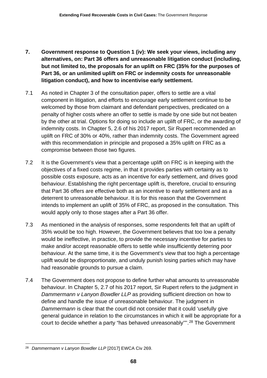- **7. Government response to Question 1 (iv): We seek your views, including any alternatives, on: Part 36 offers and unreasonable litigation conduct (including, but not limited to, the proposals for an uplift on FRC (35% for the purposes of Part 36, or an unlimited uplift on FRC or indemnity costs for unreasonable litigation conduct), and how to incentivise early settlement.**
- 7.1 As noted in Chapter 3 of the consultation paper, offers to settle are a vital component in litigation, and efforts to encourage early settlement continue to be welcomed by those from claimant and defendant perspectives, predicated on a penalty of higher costs where an offer to settle is made by one side but not beaten by the other at trial. Options for doing so include an uplift of FRC, or the awarding of indemnity costs. In Chapter 5, 2.6 of his 2017 report, Sir Rupert recommended an uplift on FRC of 30% or 40%, rather than indemnity costs. The Government agreed with this recommendation in principle and proposed a 35% uplift on FRC as a compromise between those two figures.
- 7.2 It is the Government's view that a percentage uplift on FRC is in keeping with the objectives of a fixed costs regime, in that it provides parties with certainty as to possible costs exposure, acts as an incentive for early settlement, and drives good behaviour. Establishing the right percentage uplift is, therefore, crucial to ensuring that Part 36 offers are effective both as an incentive to early settlement and as a deterrent to unreasonable behaviour. It is for this reason that the Government intends to implement an uplift of 35% of FRC, as proposed in the consultation. This would apply only to those stages after a Part 36 offer.
- 7.3 As mentioned in the analysis of responses, some respondents felt that an uplift of 35% would be too high. However, the Government believes that too low a penalty would be ineffective, in practice, to provide the necessary incentive for parties to make and/or accept reasonable offers to settle while insufficiently deterring poor behaviour. At the same time, it is the Government's view that too high a percentage uplift would be disproportionate, and unduly punish losing parties which may have had reasonable grounds to pursue a claim.
- 7.4 The Government does not propose to define further what amounts to unreasonable behaviour. In Chapter 5, 2.7 of his 2017 report, Sir Rupert refers to the judgment in *Dammermann v Lanyon Bowdler LLP* as providing sufficient direction on how to define and handle the issue of unreasonable behaviour. The judgment in *Dammermann* is clear that the court did not consider that it could 'usefully give general guidance in relation to the circumstances in which it will be appropriate for a court to decide whether a party "has behaved unreasonably'"'.[28](#page-69-0) The Government

<span id="page-69-0"></span><sup>28</sup> *Dammermann v Lanyon Bowdler LLP* [2017] EWCA Civ 269.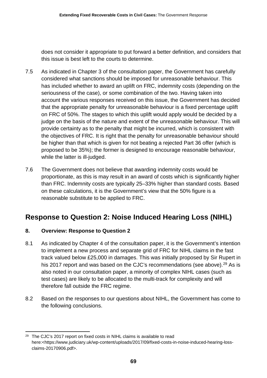does not consider it appropriate to put forward a better definition, and considers that this issue is best left to the courts to determine.

- 7.5 As indicated in Chapter 3 of the consultation paper, the Government has carefully considered what sanctions should be imposed for unreasonable behaviour. This has included whether to award an uplift on FRC, indemnity costs (depending on the seriousness of the case), or some combination of the two. Having taken into account the various responses received on this issue, the Government has decided that the appropriate penalty for unreasonable behaviour is a fixed percentage uplift on FRC of 50%. The stages to which this uplift would apply would be decided by a judge on the basis of the nature and extent of the unreasonable behaviour. This will provide certainty as to the penalty that might be incurred, which is consistent with the objectives of FRC. It is right that the penalty for unreasonable behaviour should be higher than that which is given for not beating a rejected Part 36 offer (which is proposed to be 35%); the former is designed to encourage reasonable behaviour, while the latter is ill-judged.
- 7.6 The Government does not believe that awarding indemnity costs would be proportionate, as this is may result in an award of costs which is significantly higher than FRC. Indemnity costs are typically 25–33% higher than standard costs. Based on these calculations, it is the Government's view that the 50% figure is a reasonable substitute to be applied to FRC.

# **Response to Question 2: Noise Induced Hearing Loss (NIHL)**

# **8. Overview: Response to Question 2**

- 8.1 As indicated by Chapter 4 of the consultation paper, it is the Government's intention to implement a new process and separate grid of FRC for NIHL claims in the fast track valued below £25,000 in damages. This was initially proposed by Sir Rupert in his 2017 report and was based on the CJC's recommendations (see above).<sup>[29](#page-70-0)</sup> As is also noted in our consultation paper, a minority of complex NIHL cases (such as test cases) are likely to be allocated to the multi-track for complexity and will therefore fall outside the FRC regime.
- 8.2 Based on the responses to our questions about NIHL, the Government has come to the following conclusions.

<span id="page-70-0"></span><sup>&</sup>lt;sup>29</sup> The CJC's 2017 report on fixed costs in NIHL claims is available to read here:[<https://www.judiciary.uk/wp-content/uploads/2017/09/fixed-costs-in-noise-induced-hearing-loss](https://www.judiciary.uk/wp-content/uploads/2017/09/fixed-costs-in-noise-induced-hearing-loss-claims-20170906.pdf)[claims-20170906.pdf>](https://www.judiciary.uk/wp-content/uploads/2017/09/fixed-costs-in-noise-induced-hearing-loss-claims-20170906.pdf).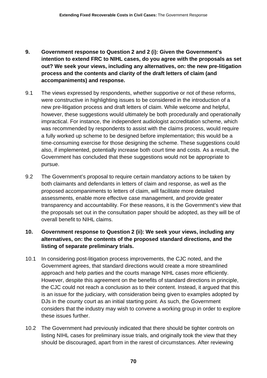- **9. Government response to Question 2 and 2 (i): Given the Government's intention to extend FRC to NIHL cases, do you agree with the proposals as set out? We seek your views, including any alternatives, on: the new pre-litigation process and the contents and clarity of the draft letters of claim (and accompaniments) and response.**
- 9.1 The views expressed by respondents, whether supportive or not of these reforms, were constructive in highlighting issues to be considered in the introduction of a new pre-litigation process and draft letters of claim. While welcome and helpful, however, these suggestions would ultimately be both procedurally and operationally impractical. For instance, the independent audiologist accreditation scheme, which was recommended by respondents to assist with the claims process, would require a fully worked up scheme to be designed before implementation; this would be a time-consuming exercise for those designing the scheme. These suggestions could also, if implemented, potentially increase both court time and costs. As a result, the Government has concluded that these suggestions would not be appropriate to pursue.
- 9.2 The Government's proposal to require certain mandatory actions to be taken by both claimants and defendants in letters of claim and response, as well as the proposed accompaniments to letters of claim, will facilitate more detailed assessments, enable more effective case management, and provide greater transparency and accountability. For these reasons, it is the Government's view that the proposals set out in the consultation paper should be adopted, as they will be of overall benefit to NIHL claims.

# **10. Government response to Question 2 (ii): We seek your views, including any alternatives, on: the contents of the proposed standard directions, and the listing of separate preliminary trials.**

- 10.1 In considering post-litigation process improvements, the CJC noted, and the Government agrees, that standard directions would create a more streamlined approach and help parties and the courts manage NIHL cases more efficiently. However, despite this agreement on the benefits of standard directions in principle, the CJC could not reach a conclusion as to their content. Instead, it argued that this is an issue for the judiciary, with consideration being given to examples adopted by DJs in the county court as an initial starting point. As such, the Government considers that the industry may wish to convene a working group in order to explore these issues further.
- 10.2 The Government had previously indicated that there should be tighter controls on listing NIHL cases for preliminary issue trials, and originally took the view that they should be discouraged, apart from in the rarest of circumstances. After reviewing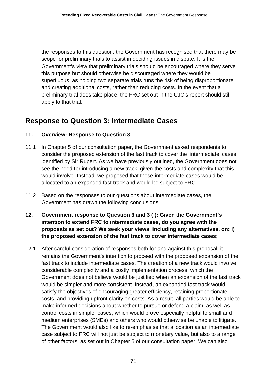the responses to this question, the Government has recognised that there may be scope for preliminary trials to assist in deciding issues in dispute. It is the Government's view that preliminary trials should be encouraged where they serve this purpose but should otherwise be discouraged where they would be superfluous, as holding two separate trials runs the risk of being disproportionate and creating additional costs, rather than reducing costs. In the event that a preliminary trial does take place, the FRC set out in the CJC's report should still apply to that trial.

### **Response to Question 3: Intermediate Cases**

#### **11. Overview: Response to Question 3**

- 11.1 In Chapter 5 of our consultation paper, the Government asked respondents to consider the proposed extension of the fast track to cover the 'intermediate' cases identified by Sir Rupert. As we have previously outlined, the Government does not see the need for introducing a new track, given the costs and complexity that this would involve. Instead, we proposed that these intermediate cases would be allocated to an expanded fast track and would be subject to FRC.
- 11.2 Based on the responses to our questions about intermediate cases, the Government has drawn the following conclusions.
- **12. Government response to Question 3 and 3 (i): Given the Government's intention to extend FRC to intermediate cases, do you agree with the proposals as set out? We seek your views, including any alternatives, on: i) the proposed extension of the fast track to cover intermediate cases;**
- 12.1 After careful consideration of responses both for and against this proposal, it remains the Government's intention to proceed with the proposed expansion of the fast track to include intermediate cases. The creation of a new track would involve considerable complexity and a costly implementation process, which the Government does not believe would be justified when an expansion of the fast track would be simpler and more consistent. Instead, an expanded fast track would satisfy the objectives of encouraging greater efficiency, retaining proportionate costs, and providing upfront clarity on costs. As a result, all parties would be able to make informed decisions about whether to pursue or defend a claim, as well as control costs in simpler cases, which would prove especially helpful to small and medium enterprises (SMEs) and others who would otherwise be unable to litigate. The Government would also like to re-emphasise that allocation as an intermediate case subject to FRC will not just be subject to monetary value, but also to a range of other factors, as set out in Chapter 5 of our consultation paper. We can also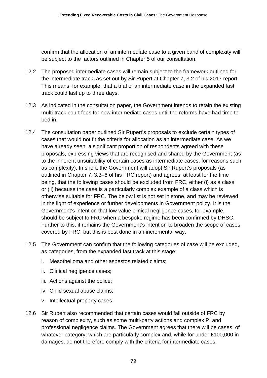confirm that the allocation of an intermediate case to a given band of complexity will be subject to the factors outlined in Chapter 5 of our consultation.

- 12.2 The proposed intermediate cases will remain subject to the framework outlined for the intermediate track, as set out by Sir Rupert at Chapter 7, 3.2 of his 2017 report. This means, for example, that a trial of an intermediate case in the expanded fast track could last up to three days.
- 12.3 As indicated in the consultation paper, the Government intends to retain the existing multi-track court fees for new intermediate cases until the reforms have had time to bed in.
- 12.4 The consultation paper outlined Sir Rupert's proposals to exclude certain types of cases that would not fit the criteria for allocation as an intermediate case. As we have already seen, a significant proportion of respondents agreed with these proposals, expressing views that are recognised and shared by the Government (as to the inherent unsuitability of certain cases as intermediate cases, for reasons such as complexity). In short, the Government will adopt Sir Rupert's proposals (as outlined in Chapter 7, 3.3–6 of his FRC report) and agrees, at least for the time being, that the following cases should be excluded from FRC, either (i) as a class, or (ii) because the case is a particularly complex example of a class which is otherwise suitable for FRC. The below list is not set in stone, and may be reviewed in the light of experience or further developments in Government policy. It is the Government's intention that low value clinical negligence cases, for example, should be subject to FRC when a bespoke regime has been confirmed by DHSC. Further to this, it remains the Government's intention to broaden the scope of cases covered by FRC, but this is best done in an incremental way.
- 12.5 The Government can confirm that the following categories of case will be excluded, as categories, from the expanded fast track at this stage:
	- i. Mesothelioma and other asbestos related claims;
	- ii. Clinical negligence cases;
	- iii. Actions against the police;
	- iv. Child sexual abuse claims;
	- v. Intellectual property cases.
- 12.6 Sir Rupert also recommended that certain cases would fall outside of FRC by reason of complexity, such as some multi-party actions and complex PI and professional negligence claims. The Government agrees that there will be cases, of whatever category, which are particularly complex and, while for under £100,000 in damages, do not therefore comply with the criteria for intermediate cases.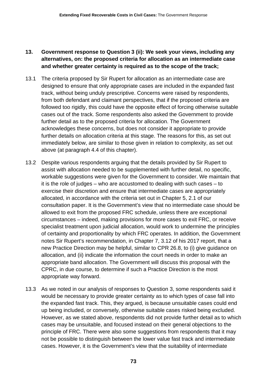- **13. Government response to Question 3 (ii): We seek your views, including any alternatives, on: the proposed criteria for allocation as an intermediate case and whether greater certainty is required as to the scope of the track;**
- 13.1 The criteria proposed by Sir Rupert for allocation as an intermediate case are designed to ensure that only appropriate cases are included in the expanded fast track, without being unduly prescriptive. Concerns were raised by respondents, from both defendant and claimant perspectives, that if the proposed criteria are followed too rigidly, this could have the opposite effect of forcing otherwise suitable cases out of the track. Some respondents also asked the Government to provide further detail as to the proposed criteria for allocation. The Government acknowledges these concerns, but does not consider it appropriate to provide further details on allocation criteria at this stage. The reasons for this, as set out immediately below, are similar to those given in relation to complexity, as set out above (at paragraph 4.4 of this chapter).
- 13.2 Despite various respondents arguing that the details provided by Sir Rupert to assist with allocation needed to be supplemented with further detail, no specific, workable suggestions were given for the Government to consider. We maintain that it is the role of judges – who are accustomed to dealing with such cases – to exercise their discretion and ensure that intermediate cases are appropriately allocated, in accordance with the criteria set out in Chapter 5, 2.1 of our consultation paper. It is the Government's view that no intermediate case should be allowed to exit from the proposed FRC schedule, unless there are exceptional circumstances – indeed, making provisions for more cases to exit FRC, or receive specialist treatment upon judicial allocation, would work to undermine the principles of certainty and proportionality by which FRC operates. In addition, the Government notes Sir Rupert's recommendation, in Chapter 7, 3.12 of his 2017 report, that a new Practice Direction may be helpful, similar to CPR 26.8, to (i) give guidance on allocation, and (ii) indicate the information the court needs in order to make an appropriate band allocation. The Government will discuss this proposal with the CPRC, in due course, to determine if such a Practice Direction is the most appropriate way forward.
- 13.3 As we noted in our analysis of responses to Question 3, some respondents said it would be necessary to provide greater certainty as to which types of case fall into the expanded fast track. This, they argued, is because unsuitable cases could end up being included, or conversely, otherwise suitable cases risked being excluded. However, as we stated above, respondents did not provide further detail as to which cases may be unsuitable, and focused instead on their general objections to the principle of FRC. There were also some suggestions from respondents that it may not be possible to distinguish between the lower value fast track and intermediate cases. However, it is the Government's view that the suitability of intermediate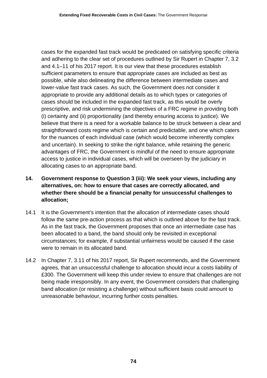cases for the expanded fast track would be predicated on satisfying specific criteria and adhering to the clear set of procedures outlined by Sir Rupert in Chapter 7, 3.2 and 4.1–11 of his 2017 report. It is our view that these procedures establish sufficient parameters to ensure that appropriate cases are included as best as possible, while also delineating the difference between intermediate cases and lower-value fast track cases. As such, the Government does not consider it appropriate to provide any additional details as to which types or categories of cases should be included in the expanded fast track, as this would be overly prescriptive, and risk undermining the objectives of a FRC regime in providing both (i) certainty and (ii) proportionality (and thereby ensuring access to justice). We believe that there is a need for a workable balance to be struck between a clear and straightforward costs regime which is certain and predictable, and one which caters for the nuances of each individual case (which would become inherently complex and uncertain). In seeking to strike the right balance, while retaining the generic advantages of FRC, the Government is mindful of the need to ensure appropriate access to justice in individual cases, which will be overseen by the judiciary in allocating cases to an appropriate band.

- **14. Government response to Question 3 (iii): We seek your views, including any alternatives, on: how to ensure that cases are correctly allocated, and whether there should be a financial penalty for unsuccessful challenges to allocation;**
- 14.1 It is the Government's intention that the allocation of intermediate cases should follow the same pre-action process as that which is outlined above for the fast track. As in the fast track, the Government proposes that once an intermediate case has been allocated to a band, the band should only be revisited in exceptional circumstances; for example, if substantial unfairness would be caused if the case were to remain in its allocated band.
- 14.2 In Chapter 7, 3.11 of his 2017 report, Sir Rupert recommends, and the Government agrees, that an unsuccessful challenge to allocation should incur a costs liability of £300. The Government will keep this under review to ensure that challenges are not being made irresponsibly. In any event, the Government considers that challenging band allocation (or resisting a challenge) without sufficient basis could amount to unreasonable behaviour, incurring further costs penalties.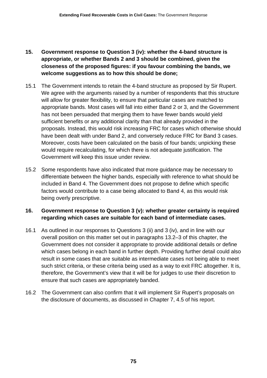- **15. Government response to Question 3 (iv): whether the 4-band structure is appropriate, or whether Bands 2 and 3 should be combined, given the closeness of the proposed figures: if you favour combining the bands, we welcome suggestions as to how this should be done;**
- 15.1 The Government intends to retain the 4-band structure as proposed by Sir Rupert. We agree with the arguments raised by a number of respondents that this structure will allow for greater flexibility, to ensure that particular cases are matched to appropriate bands. Most cases will fall into either Band 2 or 3, and the Government has not been persuaded that merging them to have fewer bands would yield sufficient benefits or any additional clarity than that already provided in the proposals. Instead, this would risk increasing FRC for cases which otherwise should have been dealt with under Band 2, and conversely reduce FRC for Band 3 cases. Moreover, costs have been calculated on the basis of four bands; unpicking these would require recalculating, for which there is not adequate justification. The Government will keep this issue under review.
- 15.2 Some respondents have also indicated that more guidance may be necessary to differentiate between the higher bands, especially with reference to what should be included in Band 4. The Government does not propose to define which specific factors would contribute to a case being allocated to Band 4, as this would risk being overly prescriptive.

#### **16. Government response to Question 3 (v): whether greater certainty is required regarding which cases are suitable for each band of intermediate cases.**

- 16.1 As outlined in our responses to Questions 3 (ii) and 3 (iv), and in line with our overall position on this matter set out in paragraphs 13.2–3 of this chapter, the Government does not consider it appropriate to provide additional details or define which cases belong in each band in further depth. Providing further detail could also result in some cases that are suitable as intermediate cases not being able to meet such strict criteria, or these criteria being used as a way to exit FRC altogether. It is, therefore, the Government's view that it will be for judges to use their discretion to ensure that such cases are appropriately banded.
- 16.2 The Government can also confirm that it will implement Sir Rupert's proposals on the disclosure of documents, as discussed in Chapter 7, 4.5 of his report.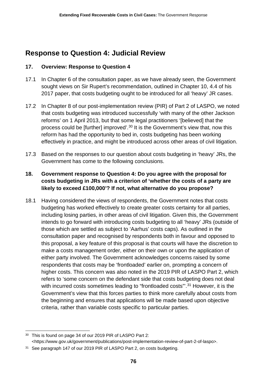## **Response to Question 4: Judicial Review**

#### **17. Overview: Response to Question 4**

- 17.1 In Chapter 6 of the consultation paper, as we have already seen, the Government sought views on Sir Rupert's recommendation, outlined in Chapter 10, 4.4 of his 2017 paper, that costs budgeting ought to be introduced for all 'heavy' JR cases.
- 17.2 In Chapter 8 of our post-implementation review (PIR) of Part 2 of LASPO, we noted that costs budgeting was introduced successfully 'with many of the other Jackson reforms' on 1 April 2013, but that some legal practitioners '[believed] that the process could be [further] improved'.[30](#page-77-0) It is the Government's view that, now this reform has had the opportunity to bed in, costs budgeting has been working effectively in practice, and might be introduced across other areas of civil litigation.
- 17.3 Based on the responses to our question about costs budgeting in 'heavy' JRs, the Government has come to the following conclusions.

#### **18. Government response to Question 4: Do you agree with the proposal for costs budgeting in JRs with a criterion of 'whether the costs of a party are likely to exceed £100,000'? If not, what alternative do you propose?**

18.1 Having considered the views of respondents, the Government notes that costs budgeting has worked effectively to create greater costs certainty for all parties, including losing parties, in other areas of civil litigation. Given this, the Government intends to go forward with introducing costs budgeting to all 'heavy' JRs (outside of those which are settled as subject to 'Aarhus' costs caps). As outlined in the consultation paper and recognised by respondents both in favour and opposed to this proposal, a key feature of this proposal is that courts will have the discretion to make a costs management order, either on their own or upon the application of either party involved. The Government acknowledges concerns raised by some respondents that costs may be 'frontloaded' earlier on, prompting a concern of higher costs. This concern was also noted in the 2019 PIR of LASPO Part 2, which refers to 'some concern on the defendant side that costs budgeting does not deal with incurred costs sometimes leading to "frontloaded costs"'.<sup>[31](#page-77-1)</sup> However, it is the Government's view that this forces parties to think more carefully about costs from the beginning and ensures that applications will be made based upon objective criteria, rather than variable costs specific to particular parties.

<span id="page-77-0"></span><sup>&</sup>lt;sup>30</sup> This is found on page 34 of our 2019 PIR of LASPO Part 2: [<https://www.gov.uk/government/publications/post-implementation-review-of-part-2-of-laspo>](https://www.gov.uk/government/publications/post-implementation-review-of-part-2-of-laspo).

<span id="page-77-1"></span><sup>&</sup>lt;sup>31</sup> See paragraph 147 of our 2019 PIR of LASPO Part 2, on costs budgeting.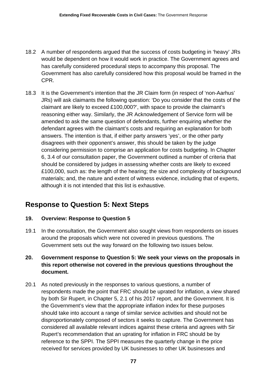- 18.2 A number of respondents argued that the success of costs budgeting in 'heavy' JRs would be dependent on how it would work in practice. The Government agrees and has carefully considered procedural steps to accompany this proposal. The Government has also carefully considered how this proposal would be framed in the CPR.
- 18.3 It is the Government's intention that the JR Claim form (in respect of 'non-Aarhus' JRs) will ask claimants the following question: 'Do you consider that the costs of the claimant are likely to exceed £100,000?', with space to provide the claimant's reasoning either way. Similarly, the JR Acknowledgement of Service form will be amended to ask the same question of defendants, further enquiring whether the defendant agrees with the claimant's costs and requiring an explanation for both answers. The intention is that, if either party answers 'yes', or the other party disagrees with their opponent's answer, this should be taken by the judge considering permission to comprise an application for costs budgeting. In Chapter 6, 3.4 of our consultation paper, the Government outlined a number of criteria that should be considered by judges in assessing whether costs are likely to exceed £100,000, such as: the length of the hearing; the size and complexity of background materials; and, the nature and extent of witness evidence, including that of experts, although it is not intended that this list is exhaustive.

## **Response to Question 5: Next Steps**

#### **19. Overview: Response to Question 5**

19.1 In the consultation, the Government also sought views from respondents on issues around the proposals which were not covered in previous questions. The Government sets out the way forward on the following two issues below.

#### **20. Government response to Question 5: We seek your views on the proposals in this report otherwise not covered in the previous questions throughout the document.**

20.1 As noted previously in the responses to various questions, a number of respondents made the point that FRC should be uprated for inflation, a view shared by both Sir Rupert, in Chapter 5, 2.1 of his 2017 report, and the Government. It is the Government's view that the appropriate inflation index for these purposes should take into account a range of similar service activities and should not be disproportionately composed of sectors it seeks to capture. The Government has considered all available relevant indices against these criteria and agrees with Sir Rupert's recommendation that an uprating for inflation in FRC should be by reference to the SPPI. The SPPI measures the quarterly change in the price received for services provided by UK businesses to other UK businesses and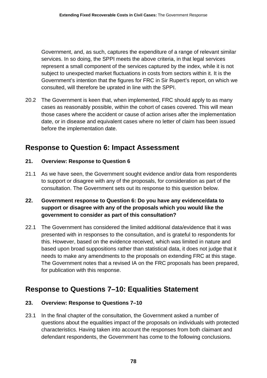Government, and, as such, captures the expenditure of a range of relevant similar services. In so doing, the SPPI meets the above criteria, in that legal services represent a small component of the services captured by the index, while it is not subject to unexpected market fluctuations in costs from sectors within it. It is the Government's intention that the figures for FRC in Sir Rupert's report, on which we consulted, will therefore be uprated in line with the SPPI.

20.2 The Government is keen that, when implemented, FRC should apply to as many cases as reasonably possible, within the cohort of cases covered. This will mean those cases where the accident or cause of action arises after the implementation date, or in disease and equivalent cases where no letter of claim has been issued before the implementation date.

### **Response to Question 6: Impact Assessment**

#### **21. Overview: Response to Question 6**

21.1 As we have seen, the Government sought evidence and/or data from respondents to support or disagree with any of the proposals, for consideration as part of the consultation. The Government sets out its response to this question below.

#### **22. Government response to Question 6: Do you have any evidence/data to support or disagree with any of the proposals which you would like the government to consider as part of this consultation?**

22.1 The Government has considered the limited additional data/evidence that it was presented with in responses to the consultation, and is grateful to respondents for this. However, based on the evidence received, which was limited in nature and based upon broad suppositions rather than statistical data, it does not judge that it needs to make any amendments to the proposals on extending FRC at this stage. The Government notes that a revised IA on the FRC proposals has been prepared, for publication with this response.

## **Response to Questions 7–10: Equalities Statement**

#### **23. Overview: Response to Questions 7–10**

23.1 In the final chapter of the consultation, the Government asked a number of questions about the equalities impact of the proposals on individuals with protected characteristics. Having taken into account the responses from both claimant and defendant respondents, the Government has come to the following conclusions.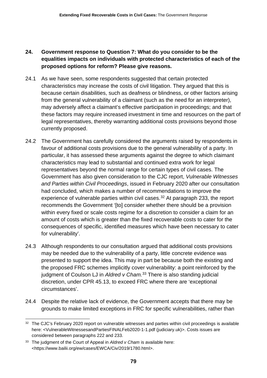- **24. Government response to Question 7: What do you consider to be the equalities impacts on individuals with protected characteristics of each of the proposed options for reform? Please give reasons.**
- 24.1 As we have seen, some respondents suggested that certain protected characteristics may increase the costs of civil litigation. They argued that this is because certain disabilities, such as deafness or blindness, or other factors arising from the general vulnerability of a claimant (such as the need for an interpreter), may adversely affect a claimant's effective participation in proceedings; and that these factors may require increased investment in time and resources on the part of legal representatives, thereby warranting additional costs provisions beyond those currently proposed.
- 24.2 The Government has carefully considered the arguments raised by respondents in favour of additional costs provisions due to the general vulnerability of a party. In particular, it has assessed these arguments against the degree to which claimant characteristics may lead to substantial and continued extra work for legal representatives beyond the normal range for certain types of civil cases. The Government has also given consideration to the CJC report, *Vulnerable Witnesses and Parties within Civil Proceedings*, issued in February 2020 after our consultation had concluded, which makes a number of recommendations to improve the experience of vulnerable parties within civil cases.<sup>[32](#page-80-0)</sup> At paragraph 233, the report recommends the Government '[to] consider whether there should be a provision within every fixed or scale costs regime for a discretion to consider a claim for an amount of costs which is greater than the fixed recoverable costs to cater for the consequences of specific, identified measures which have been necessary to cater for vulnerability'.
- 24.3 Although respondents to our consultation argued that additional costs provisions may be needed due to the vulnerability of a party, little concrete evidence was presented to support the idea. This may in part be because both the existing and the proposed FRC schemes implicitly cover vulnerability: a point reinforced by the judgment of Coulson LJ in *Aldred v Cham.*[33](#page-80-1) There is also standing judicial discretion, under CPR 45.13, to exceed FRC where there are 'exceptional circumstances'.
- 24.4 Despite the relative lack of evidence, the Government accepts that there may be grounds to make limited exceptions in FRC for specific vulnerabilities, rather than

<span id="page-80-0"></span><sup>&</sup>lt;sup>32</sup> The CJC's February 2020 report on vulnerable witnesses and parties within civil proceedings is available here: [<VulnerableWitnessesandPartiesFINALFeb2020-1-1.pdf \(judiciary.uk\)>](https://www.judiciary.uk/wp-content/uploads/2020/02/VulnerableWitnessesandPartiesFINALFeb2020-1-1.pdf). Costs issues are considered between paragraphs 222 and 233.

<span id="page-80-1"></span><sup>33</sup> The judgment of the Court of Appeal in *Aldred v Cham* is available here: [<https://www.bailii.org/ew/cases/EWCA/Civ/2019/1780.html>](https://www.bailii.org/ew/cases/EWCA/Civ/2019/1780.html).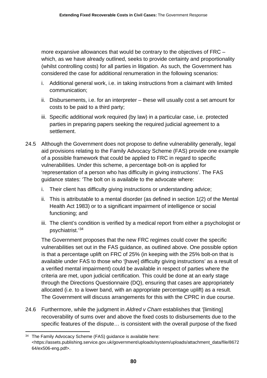more expansive allowances that would be contrary to the objectives of FRC – which, as we have already outlined, seeks to provide certainty and proportionality (whilst controlling costs) for all parties in litigation. As such, the Government has considered the case for additional renumeration in the following scenarios:

- i. Additional general work, i.e. in taking instructions from a claimant with limited communication;
- ii. Disbursements, i.e. for an interpreter these will usually cost a set amount for costs to be paid to a third party;
- iii. Specific additional work required (by law) in a particular case, i.e. protected parties in preparing papers seeking the required judicial agreement to a settlement.
- 24.5 Although the Government does not propose to define vulnerability generally, legal aid provisions relating to the Family Advocacy Scheme (FAS) provide one example of a possible framework that could be applied to FRC in regard to specific vulnerabilities. Under this scheme, a percentage bolt-on is applied for 'representation of a person who has difficulty in giving instructions'. The FAS guidance states: 'The bolt on is available to the advocate where:
	- i. Their client has difficulty giving instructions or understanding advice;
	- ii. This is attributable to a mental disorder (as defined in section 1(2) of the Mental Health Act 1983) or to a significant impairment of intelligence or social functioning; and
	- iii. The client's condition is verified by a medical report from either a psychologist or psychiatrist.'[34](#page-81-0)

The Government proposes that the new FRC regimes could cover the specific vulnerabilities set out in the FAS guidance, as outlined above. One possible option is that a percentage uplift on FRC of 25% (in keeping with the 25% bolt-on that is available under FAS to those who '[have] difficulty giving instructions' as a result of a verified mental impairment) could be available in respect of parties where the criteria are met, upon judicial certification. This could be done at an early stage through the Directions Questionnaire (DQ), ensuring that cases are appropriately allocated (i.e. to a lower band, with an appropriate percentage uplift) as a result. The Government will discuss arrangements for this with the CPRC in due course.

24.6 Furthermore, while the judgment in *Aldred v Cham* establishes that '[limiting] recoverability of sums over and above the fixed costs to disbursements due to the specific features of the dispute… is consistent with the overall purpose of the fixed

<span id="page-81-0"></span><sup>&</sup>lt;sup>34</sup> The Family Advocacy Scheme (FAS) guidance is available here: [<https://assets.publishing.service.gov.uk/government/uploads/system/uploads/attachment\\_data/file/8672](https://assets.publishing.service.gov.uk/government/uploads/system/uploads/attachment_data/file/867264/ex506-eng.pdf) [64/ex506-eng.pdf>](https://assets.publishing.service.gov.uk/government/uploads/system/uploads/attachment_data/file/867264/ex506-eng.pdf).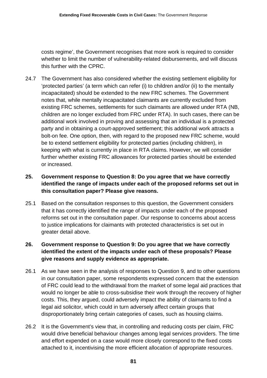costs regime', the Government recognises that more work is required to consider whether to limit the number of vulnerability-related disbursements, and will discuss this further with the CPRC.

24.7 The Government has also considered whether the existing settlement eligibility for 'protected parties' (a term which can refer (i) to children and/or (ii) to the mentally incapacitated) should be extended to the new FRC schemes. The Government notes that, while mentally incapacitated claimants are currently excluded from existing FRC schemes, settlements for such claimants are allowed under RTA (NB, children are no longer excluded from FRC under RTA). In such cases, there can be additional work involved in proving and assessing that an individual is a protected party and in obtaining a court-approved settlement; this additional work attracts a bolt-on fee. One option, then, with regard to the proposed new FRC scheme, would be to extend settlement eligibility for protected parties (including children), in keeping with what is currently in place in RTA claims. However, we will consider further whether existing FRC allowances for protected parties should be extended or increased.

#### **25. Government response to Question 8: Do you agree that we have correctly identified the range of impacts under each of the proposed reforms set out in this consultation paper? Please give reasons.**

25.1 Based on the consultation responses to this question, the Government considers that it has correctly identified the range of impacts under each of the proposed reforms set out in the consultation paper. Our response to concerns about access to justice implications for claimants with protected characteristics is set out in greater detail above.

#### **26. Government response to Question 9: Do you agree that we have correctly identified the extent of the impacts under each of these proposals? Please give reasons and supply evidence as appropriate.**

- 26.1 As we have seen in the analysis of responses to Question 9, and to other questions in our consultation paper, some respondents expressed concern that the extension of FRC could lead to the withdrawal from the market of some legal aid practices that would no longer be able to cross-subsidise their work through the recovery of higher costs. This, they argued, could adversely impact the ability of claimants to find a legal aid solicitor, which could in turn adversely affect certain groups that disproportionately bring certain categories of cases, such as housing claims.
- 26.2 It is the Government's view that, in controlling and reducing costs per claim, FRC would drive beneficial behaviour changes among legal services providers. The time and effort expended on a case would more closely correspond to the fixed costs attached to it, incentivising the more efficient allocation of appropriate resources.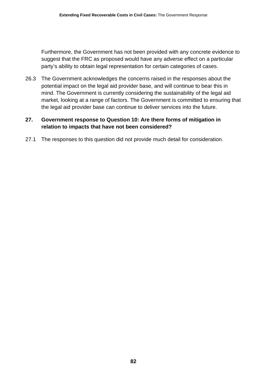Furthermore, the Government has not been provided with any concrete evidence to suggest that the FRC as proposed would have any adverse effect on a particular party's ability to obtain legal representation for certain categories of cases.

26.3 The Government acknowledges the concerns raised in the responses about the potential impact on the legal aid provider base, and will continue to bear this in mind. The Government is currently considering the sustainability of the legal aid market, looking at a range of factors. The Government is committed to ensuring that the legal aid provider base can continue to deliver services into the future.

#### **27. Government response to Question 10: Are there forms of mitigation in relation to impacts that have not been considered?**

27.1 The responses to this question did not provide much detail for consideration.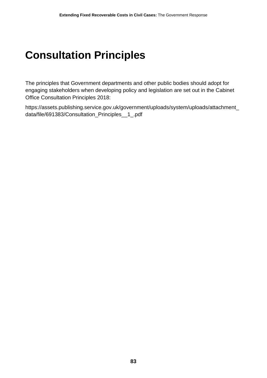# **Consultation Principles**

The principles that Government departments and other public bodies should adopt for engaging stakeholders when developing policy and legislation are set out in the Cabinet Office Consultation Principles 2018:

[https://assets.publishing.service.gov.uk/government/uploads/system/uploads/attachment\\_](https://assets.publishing.service.gov.uk/government/uploads/system/uploads/attachment_data/file/691383/Consultation_Principles__1_.pdf) [data/file/691383/Consultation\\_Principles\\_\\_1\\_.pdf](https://assets.publishing.service.gov.uk/government/uploads/system/uploads/attachment_data/file/691383/Consultation_Principles__1_.pdf)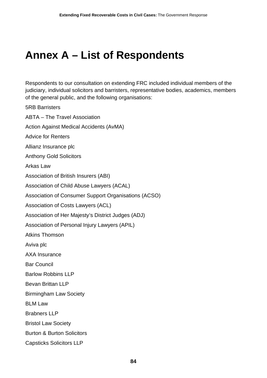## **Annex A – List of Respondents**

Respondents to our consultation on extending FRC included individual members of the judiciary, individual solicitors and barristers, representative bodies, academics, members of the general public, and the following organisations:

5RB Barristers ABTA – The Travel Association Action Against Medical Accidents (AvMA) Advice for Renters Allianz Insurance plc Anthony Gold Solicitors Arkas Law Association of British Insurers (ABI) Association of Child Abuse Lawyers (ACAL) Association of Consumer Support Organisations (ACSO) Association of Costs Lawyers (ACL) Association of Her Majesty's District Judges (ADJ) Association of Personal Injury Lawyers (APIL) Atkins Thomson Aviva plc AXA Insurance Bar Council Barlow Robbins LLP Bevan Brittan LLP Birmingham Law Society BLM Law Brabners LLP Bristol Law Society Burton & Burton Solicitors Capsticks Solicitors LLP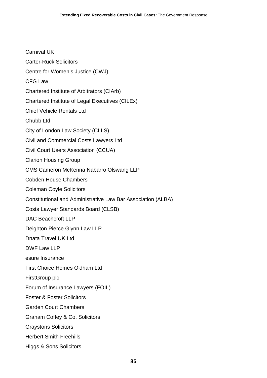Carnival UK Carter-Ruck Solicitors Centre for Women's Justice (CWJ) CFG Law Chartered Institute of Arbitrators (CIArb) Chartered Institute of Legal Executives (CILEx) Chief Vehicle Rentals Ltd Chubb Ltd City of London Law Society (CLLS) Civil and Commercial Costs Lawyers Ltd Civil Court Users Association (CCUA) Clarion Housing Group CMS Cameron McKenna Nabarro Olswang LLP Cobden House Chambers Coleman Coyle Solicitors Constitutional and Administrative Law Bar Association (ALBA) Costs Lawyer Standards Board (CLSB) DAC Beachcroft LLP Deighton Pierce Glynn Law LLP Dnata Travel UK Ltd DWF Law LLP esure Insurance First Choice Homes Oldham Ltd FirstGroup plc Forum of Insurance Lawyers (FOIL) Foster & Foster Solicitors Garden Court Chambers Graham Coffey & Co. Solicitors Graystons Solicitors Herbert Smith Freehills Higgs & Sons Solicitors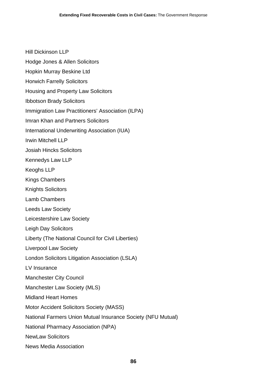Hill Dickinson LLP

- Hodge Jones & Allen Solicitors
- Hopkin Murray Beskine Ltd
- Horwich Farrelly Solicitors
- Housing and Property Law Solicitors
- Ibbotson Brady Solicitors
- Immigration Law Practitioners' Association (ILPA)
- Imran Khan and Partners Solicitors
- International Underwriting Association (IUA)
- Irwin Mitchell LLP
- Josiah Hincks Solicitors
- Kennedys Law LLP
- Keoghs LLP
- Kings Chambers
- Knights Solicitors
- Lamb Chambers
- Leeds Law Society
- Leicestershire Law Society
- Leigh Day Solicitors
- Liberty (The National Council for Civil Liberties)
- Liverpool Law Society
- London Solicitors Litigation Association (LSLA)
- LV Insurance
- Manchester City Council
- Manchester Law Society (MLS)
- Midland Heart Homes
- Motor Accident Solicitors Society (MASS)
- National Farmers Union Mutual Insurance Society (NFU Mutual)
- National Pharmacy Association (NPA)
- NewLaw Solicitors
- News Media Association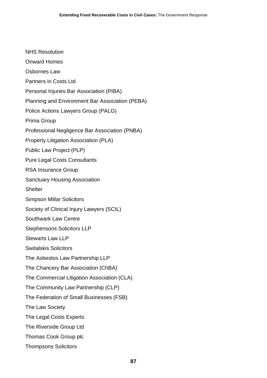NHS Resolution Onward Homes Osbornes Law Partners in Costs Ltd Personal Injuries Bar Association (PIBA) Planning and Environment Bar Association (PEBA) Police Actions Lawyers Group (PALG) Prima Group Professional Negligence Bar Association (PNBA) Property Litigation Association (PLA) Public Law Project (PLP) Pure Legal Costs Consultants RSA Insurance Group Sanctuary Housing Association **Shelter** Simpson Millar Solicitors Society of Clinical Injury Lawyers (SCIL) Southwark Law Centre Stephensons Solicitors LLP Stewarts Law LLP Switalskis Solicitors The Asbestos Law Partnership LLP The Chancery Bar Association (ChBA) The Commercial Litigation Association (CLA) The Community Law Partnership (CLP) The Federation of Small Businesses (FSB) The Law Society The Legal Costs Experts The Riverside Group Ltd Thomas Cook Group plc Thompsons Solicitors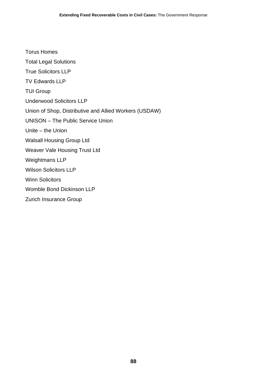Torus Homes Total Legal Solutions True Solicitors LLP TV Edwards LLP TUI Group Underwood Solicitors LLP Union of Shop, Distributive and Allied Workers (USDAW) UNISON – The Public Service Union Unite – the Union Walsall Housing Group Ltd Weaver Vale Housing Trust Ltd Weightmans LLP Wilson Solicitors LLP Winn Solicitors Womble Bond Dickinson LLP Zurich Insurance Group